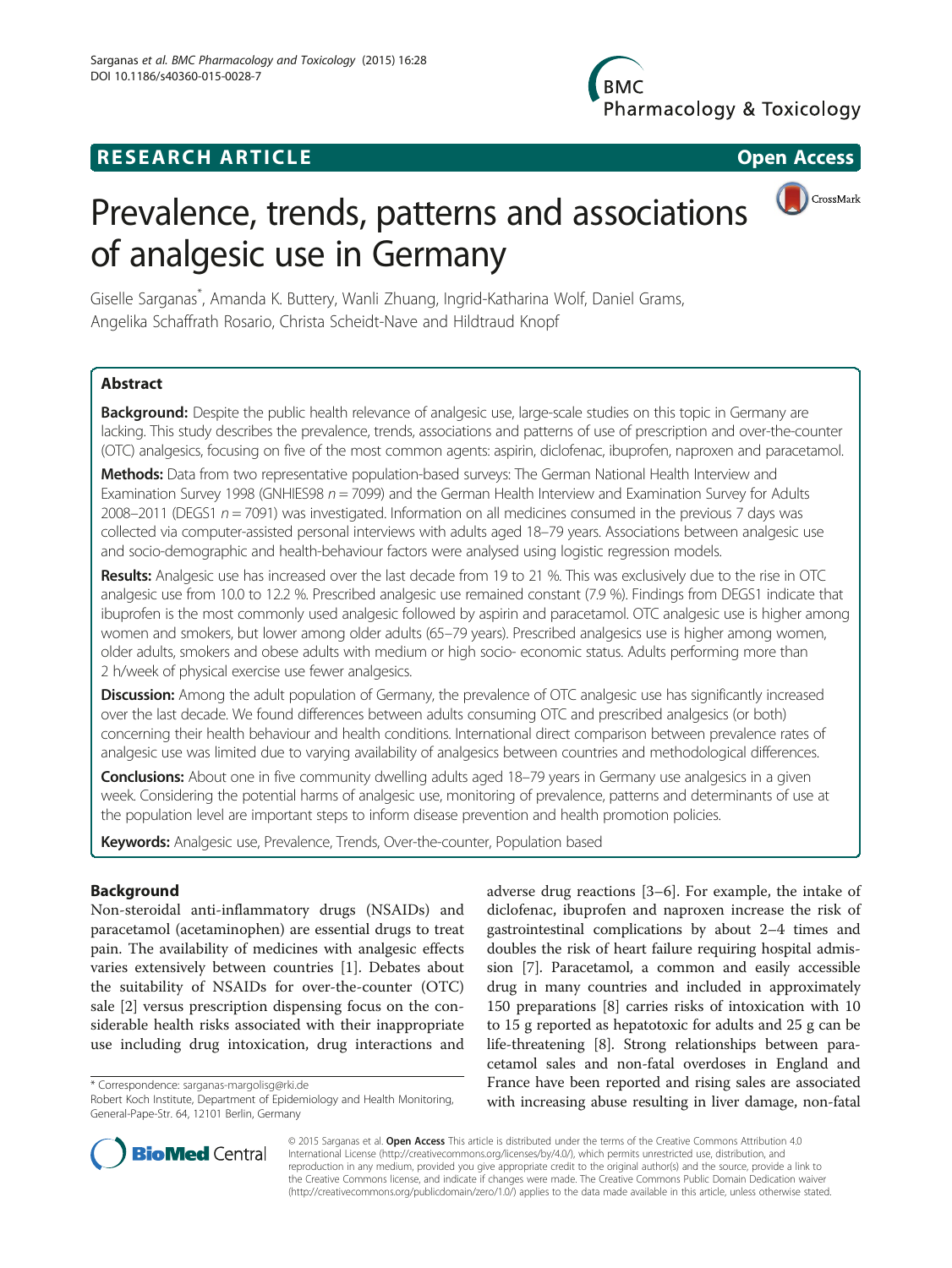# **RESEARCH ARTICLE CONSUMING A RESEARCH ARTICLE**



# Prevalence, trends, patterns and associations of analgesic use in Germany

Giselle Sarganas\* , Amanda K. Buttery, Wanli Zhuang, Ingrid-Katharina Wolf, Daniel Grams, Angelika Schaffrath Rosario, Christa Scheidt-Nave and Hildtraud Knopf

# **Abstract**

Background: Despite the public health relevance of analgesic use, large-scale studies on this topic in Germany are lacking. This study describes the prevalence, trends, associations and patterns of use of prescription and over-the-counter (OTC) analgesics, focusing on five of the most common agents: aspirin, diclofenac, ibuprofen, naproxen and paracetamol.

Methods: Data from two representative population-based surveys: The German National Health Interview and Examination Survey 1998 (GNHIES98  $n = 7099$ ) and the German Health Interview and Examination Survey for Adults 2008–2011 (DEGS1  $n = 7091$ ) was investigated. Information on all medicines consumed in the previous 7 days was collected via computer-assisted personal interviews with adults aged 18–79 years. Associations between analgesic use and socio-demographic and health-behaviour factors were analysed using logistic regression models.

Results: Analgesic use has increased over the last decade from 19 to 21 %. This was exclusively due to the rise in OTC analgesic use from 10.0 to 12.2 %. Prescribed analgesic use remained constant (7.9 %). Findings from DEGS1 indicate that ibuprofen is the most commonly used analgesic followed by aspirin and paracetamol. OTC analgesic use is higher among women and smokers, but lower among older adults (65–79 years). Prescribed analgesics use is higher among women, older adults, smokers and obese adults with medium or high socio- economic status. Adults performing more than 2 h/week of physical exercise use fewer analgesics.

Discussion: Among the adult population of Germany, the prevalence of OTC analgesic use has significantly increased over the last decade. We found differences between adults consuming OTC and prescribed analgesics (or both) concerning their health behaviour and health conditions. International direct comparison between prevalence rates of analgesic use was limited due to varying availability of analgesics between countries and methodological differences.

Conclusions: About one in five community dwelling adults aged 18–79 years in Germany use analgesics in a given week. Considering the potential harms of analgesic use, monitoring of prevalence, patterns and determinants of use at the population level are important steps to inform disease prevention and health promotion policies.

Keywords: Analgesic use, Prevalence, Trends, Over-the-counter, Population based

# Background

Non-steroidal anti-inflammatory drugs (NSAIDs) and paracetamol (acetaminophen) are essential drugs to treat pain. The availability of medicines with analgesic effects varies extensively between countries [\[1](#page-11-0)]. Debates about the suitability of NSAIDs for over-the-counter (OTC) sale [\[2](#page-11-0)] versus prescription dispensing focus on the considerable health risks associated with their inappropriate use including drug intoxication, drug interactions and

\* Correspondence: [sarganas-margolisg@rki.de](mailto:sarganas-margolisg@rki.de)

adverse drug reactions [[3](#page-11-0)–[6](#page-11-0)]. For example, the intake of diclofenac, ibuprofen and naproxen increase the risk of gastrointestinal complications by about 2–4 times and doubles the risk of heart failure requiring hospital admission [[7](#page-11-0)]. Paracetamol, a common and easily accessible drug in many countries and included in approximately 150 preparations [\[8\]](#page-11-0) carries risks of intoxication with 10 to 15 g reported as hepatotoxic for adults and 25 g can be life-threatening [[8](#page-11-0)]. Strong relationships between paracetamol sales and non-fatal overdoses in England and France have been reported and rising sales are associated with increasing abuse resulting in liver damage, non-fatal



© 2015 Sarganas et al. Open Access This article is distributed under the terms of the Creative Commons Attribution 4.0 International License [\(http://creativecommons.org/licenses/by/4.0/](http://creativecommons.org/licenses/by/4.0/)), which permits unrestricted use, distribution, and reproduction in any medium, provided you give appropriate credit to the original author(s) and the source, provide a link to the Creative Commons license, and indicate if changes were made. The Creative Commons Public Domain Dedication waiver [\(http://creativecommons.org/publicdomain/zero/1.0/](http://creativecommons.org/publicdomain/zero/1.0/)) applies to the data made available in this article, unless otherwise stated.

Robert Koch Institute, Department of Epidemiology and Health Monitoring, General-Pape-Str. 64, 12101 Berlin, Germany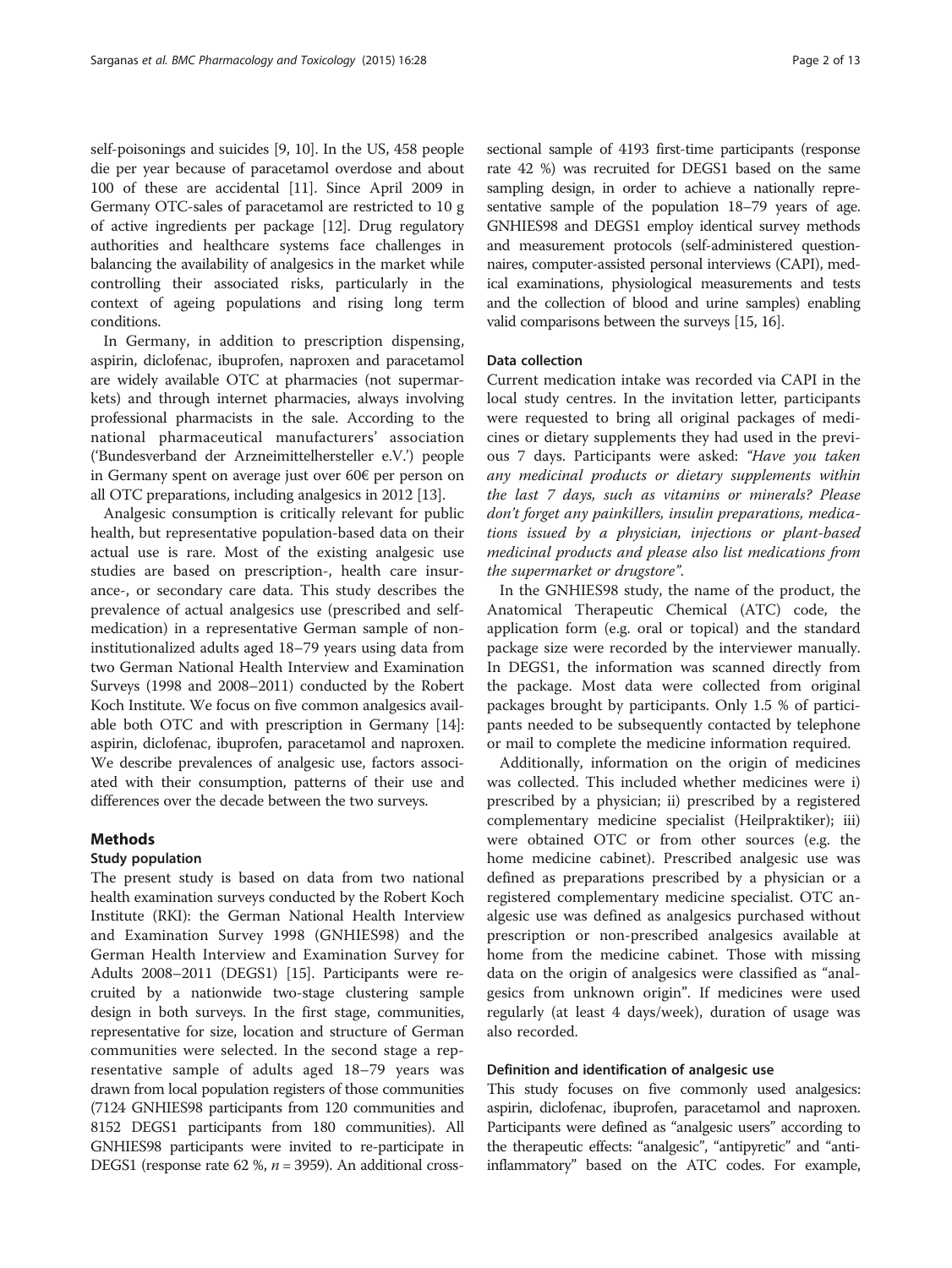self-poisonings and suicides [\[9](#page-11-0), [10](#page-11-0)]. In the US, 458 people die per year because of paracetamol overdose and about 100 of these are accidental [[11](#page-11-0)]. Since April 2009 in Germany OTC-sales of paracetamol are restricted to 10 g of active ingredients per package [[12](#page-11-0)]. Drug regulatory authorities and healthcare systems face challenges in balancing the availability of analgesics in the market while controlling their associated risks, particularly in the context of ageing populations and rising long term conditions.

In Germany, in addition to prescription dispensing, aspirin, diclofenac, ibuprofen, naproxen and paracetamol are widely available OTC at pharmacies (not supermarkets) and through internet pharmacies, always involving professional pharmacists in the sale. According to the national pharmaceutical manufacturers' association ('Bundesverband der Arzneimittelhersteller e.V.') people in Germany spent on average just over 60€ per person on all OTC preparations, including analgesics in 2012 [\[13\]](#page-11-0).

Analgesic consumption is critically relevant for public health, but representative population-based data on their actual use is rare. Most of the existing analgesic use studies are based on prescription-, health care insurance-, or secondary care data. This study describes the prevalence of actual analgesics use (prescribed and selfmedication) in a representative German sample of noninstitutionalized adults aged 18–79 years using data from two German National Health Interview and Examination Surveys (1998 and 2008–2011) conducted by the Robert Koch Institute. We focus on five common analgesics available both OTC and with prescription in Germany [[14](#page-11-0)]: aspirin, diclofenac, ibuprofen, paracetamol and naproxen. We describe prevalences of analgesic use, factors associated with their consumption, patterns of their use and differences over the decade between the two surveys.

#### Methods

# Study population

The present study is based on data from two national health examination surveys conducted by the Robert Koch Institute (RKI): the German National Health Interview and Examination Survey 1998 (GNHIES98) and the German Health Interview and Examination Survey for Adults 2008–2011 (DEGS1) [\[15\]](#page-11-0). Participants were recruited by a nationwide two-stage clustering sample design in both surveys. In the first stage, communities, representative for size, location and structure of German communities were selected. In the second stage a representative sample of adults aged 18–79 years was drawn from local population registers of those communities (7124 GNHIES98 participants from 120 communities and 8152 DEGS1 participants from 180 communities). All GNHIES98 participants were invited to re-participate in DEGS1 (response rate 62 %,  $n = 3959$ ). An additional cross-

sectional sample of 4193 first-time participants (response rate 42 %) was recruited for DEGS1 based on the same sampling design, in order to achieve a nationally representative sample of the population 18–79 years of age. GNHIES98 and DEGS1 employ identical survey methods and measurement protocols (self-administered questionnaires, computer-assisted personal interviews (CAPI), medical examinations, physiological measurements and tests and the collection of blood and urine samples) enabling valid comparisons between the surveys [\[15, 16\]](#page-11-0).

#### Data collection

Current medication intake was recorded via CAPI in the local study centres. In the invitation letter, participants were requested to bring all original packages of medicines or dietary supplements they had used in the previous 7 days. Participants were asked: "Have you taken any medicinal products or dietary supplements within the last 7 days, such as vitamins or minerals? Please don't forget any painkillers, insulin preparations, medications issued by a physician, injections or plant-based medicinal products and please also list medications from the supermarket or drugstore".

In the GNHIES98 study, the name of the product, the Anatomical Therapeutic Chemical (ATC) code, the application form (e.g. oral or topical) and the standard package size were recorded by the interviewer manually. In DEGS1, the information was scanned directly from the package. Most data were collected from original packages brought by participants. Only 1.5 % of participants needed to be subsequently contacted by telephone or mail to complete the medicine information required.

Additionally, information on the origin of medicines was collected. This included whether medicines were i) prescribed by a physician; ii) prescribed by a registered complementary medicine specialist (Heilpraktiker); iii) were obtained OTC or from other sources (e.g. the home medicine cabinet). Prescribed analgesic use was defined as preparations prescribed by a physician or a registered complementary medicine specialist. OTC analgesic use was defined as analgesics purchased without prescription or non-prescribed analgesics available at home from the medicine cabinet. Those with missing data on the origin of analgesics were classified as "analgesics from unknown origin". If medicines were used regularly (at least 4 days/week), duration of usage was also recorded.

# Definition and identification of analgesic use

This study focuses on five commonly used analgesics: aspirin, diclofenac, ibuprofen, paracetamol and naproxen. Participants were defined as "analgesic users" according to the therapeutic effects: "analgesic", "antipyretic" and "antiinflammatory" based on the ATC codes. For example,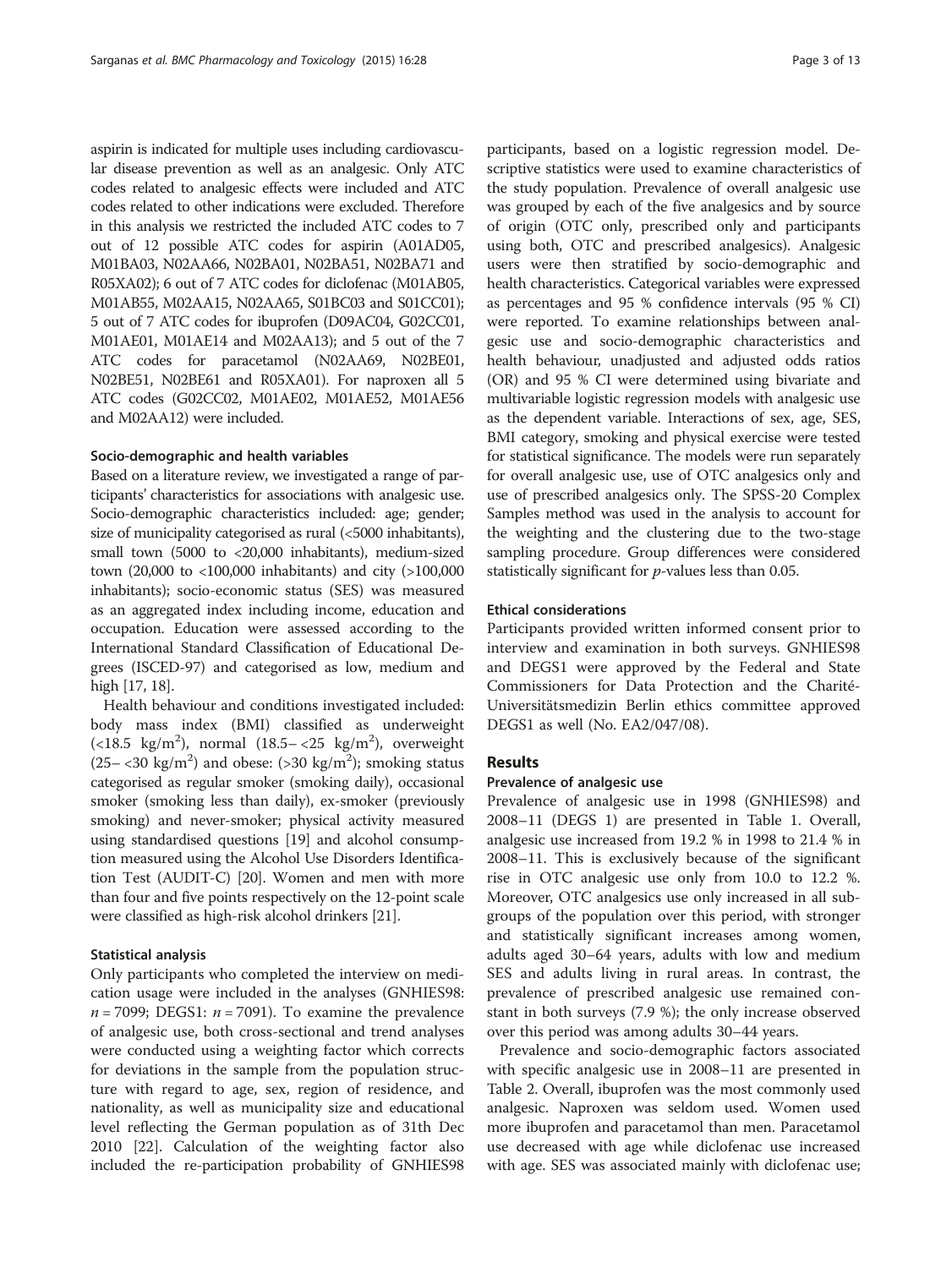aspirin is indicated for multiple uses including cardiovascular disease prevention as well as an analgesic. Only ATC codes related to analgesic effects were included and ATC codes related to other indications were excluded. Therefore in this analysis we restricted the included ATC codes to 7 out of 12 possible ATC codes for aspirin (A01AD05, M01BA03, N02AA66, N02BA01, N02BA51, N02BA71 and R05XA02); 6 out of 7 ATC codes for diclofenac (M01AB05, M01AB55, M02AA15, N02AA65, S01BC03 and S01CC01); 5 out of 7 ATC codes for ibuprofen (D09AC04, G02CC01, M01AE01, M01AE14 and M02AA13); and 5 out of the 7 ATC codes for paracetamol (N02AA69, N02BE01, N02BE51, N02BE61 and R05XA01). For naproxen all 5 ATC codes (G02CC02, M01AE02, M01AE52, M01AE56 and M02AA12) were included.

#### Socio-demographic and health variables

Based on a literature review, we investigated a range of participants' characteristics for associations with analgesic use. Socio-demographic characteristics included: age; gender; size of municipality categorised as rural (<5000 inhabitants), small town (5000 to <20,000 inhabitants), medium-sized town (20,000 to <100,000 inhabitants) and city (>100,000 inhabitants); socio-economic status (SES) was measured as an aggregated index including income, education and occupation. Education were assessed according to the International Standard Classification of Educational Degrees (ISCED-97) and categorised as low, medium and high [\[17, 18\]](#page-11-0).

Health behaviour and conditions investigated included: body mass index (BMI) classified as underweight  $\left($  <18.5 kg/m<sup>2</sup>), normal  $(18.5 - 25$  kg/m<sup>2</sup>), overweight  $(25 -  $30 \text{ kg/m}^2$ ) and obese:  $(>30 \text{ kg/m}^2)$ ; smoking status$ categorised as regular smoker (smoking daily), occasional smoker (smoking less than daily), ex-smoker (previously smoking) and never-smoker; physical activity measured using standardised questions [[19](#page-11-0)] and alcohol consumption measured using the Alcohol Use Disorders Identification Test (AUDIT-C) [[20](#page-11-0)]. Women and men with more than four and five points respectively on the 12-point scale were classified as high-risk alcohol drinkers [[21](#page-11-0)].

#### Statistical analysis

Only participants who completed the interview on medication usage were included in the analyses (GNHIES98:  $n = 7099$ ; DEGS1:  $n = 7091$ ). To examine the prevalence of analgesic use, both cross-sectional and trend analyses were conducted using a weighting factor which corrects for deviations in the sample from the population structure with regard to age, sex, region of residence, and nationality, as well as municipality size and educational level reflecting the German population as of 31th Dec 2010 [[22](#page-11-0)]. Calculation of the weighting factor also included the re-participation probability of GNHIES98

participants, based on a logistic regression model. Descriptive statistics were used to examine characteristics of the study population. Prevalence of overall analgesic use was grouped by each of the five analgesics and by source of origin (OTC only, prescribed only and participants using both, OTC and prescribed analgesics). Analgesic users were then stratified by socio-demographic and health characteristics. Categorical variables were expressed as percentages and 95 % confidence intervals (95 % CI) were reported. To examine relationships between analgesic use and socio-demographic characteristics and health behaviour, unadjusted and adjusted odds ratios (OR) and 95 % CI were determined using bivariate and multivariable logistic regression models with analgesic use as the dependent variable. Interactions of sex, age, SES, BMI category, smoking and physical exercise were tested for statistical significance. The models were run separately for overall analgesic use, use of OTC analgesics only and use of prescribed analgesics only. The SPSS-20 Complex Samples method was used in the analysis to account for the weighting and the clustering due to the two-stage sampling procedure. Group differences were considered statistically significant for p-values less than 0.05.

## Ethical considerations

Participants provided written informed consent prior to interview and examination in both surveys. GNHIES98 and DEGS1 were approved by the Federal and State Commissioners for Data Protection and the Charité-Universitätsmedizin Berlin ethics committee approved DEGS1 as well (No. EA2/047/08).

# Results

#### Prevalence of analgesic use

Prevalence of analgesic use in 1998 (GNHIES98) and 2008–11 (DEGS 1) are presented in Table [1](#page-3-0). Overall, analgesic use increased from 19.2 % in 1998 to 21.4 % in 2008–11. This is exclusively because of the significant rise in OTC analgesic use only from 10.0 to 12.2 %. Moreover, OTC analgesics use only increased in all subgroups of the population over this period, with stronger and statistically significant increases among women, adults aged 30–64 years, adults with low and medium SES and adults living in rural areas. In contrast, the prevalence of prescribed analgesic use remained constant in both surveys (7.9 %); the only increase observed over this period was among adults 30–44 years.

Prevalence and socio-demographic factors associated with specific analgesic use in 2008–11 are presented in Table [2.](#page-4-0) Overall, ibuprofen was the most commonly used analgesic. Naproxen was seldom used. Women used more ibuprofen and paracetamol than men. Paracetamol use decreased with age while diclofenac use increased with age. SES was associated mainly with diclofenac use;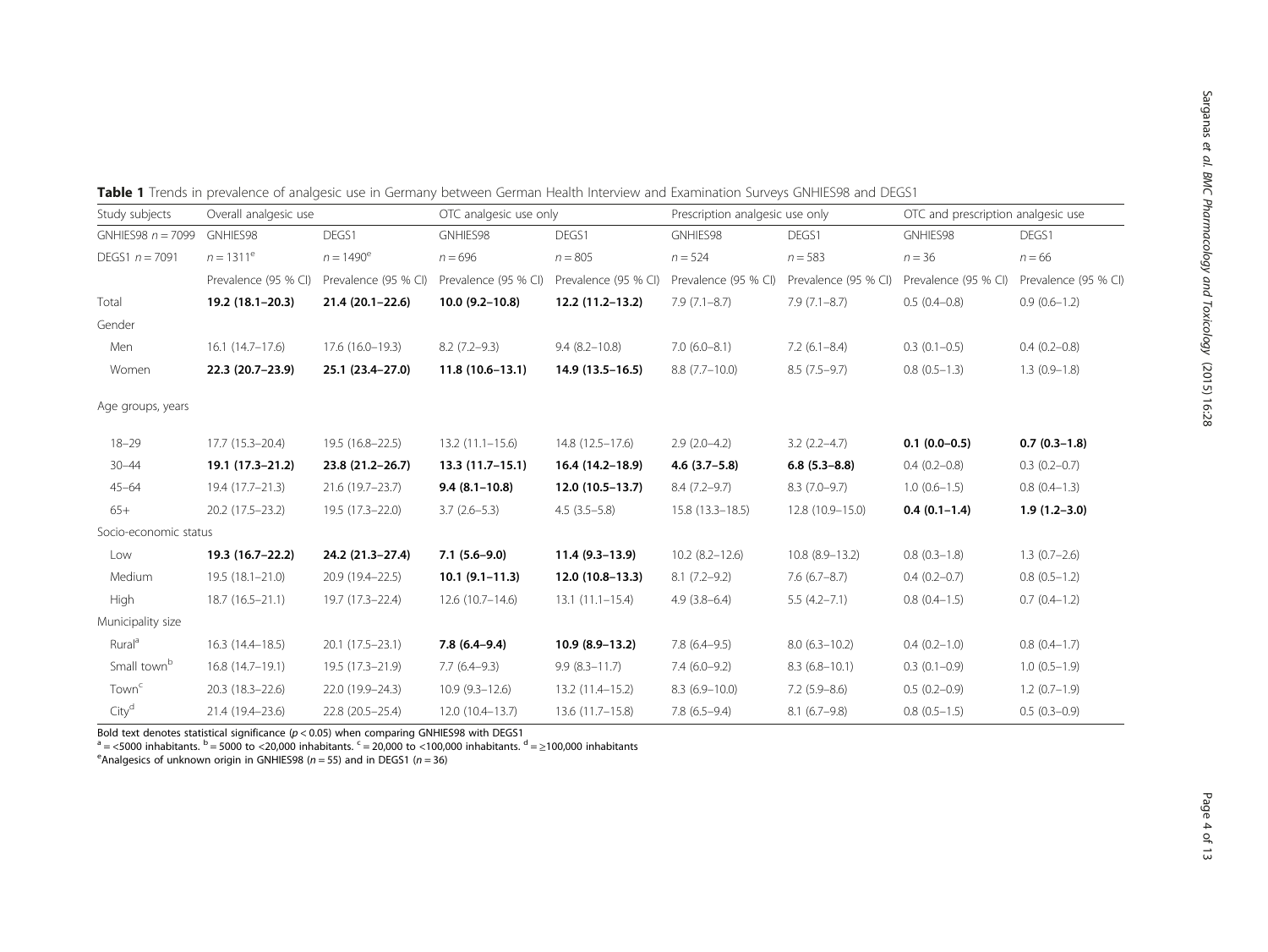|                         |                       |                      |                      | <b>Table 1</b> Trends in prevalence of analgesic use in Germany between German Health Interview and Examination Surveys GNHIES98 and DEGS1 |                      |                                 |                                    |                      |
|-------------------------|-----------------------|----------------------|----------------------|--------------------------------------------------------------------------------------------------------------------------------------------|----------------------|---------------------------------|------------------------------------|----------------------|
| Study subjects          | Overall analgesic use |                      |                      | OTC analgesic use only                                                                                                                     |                      | Prescription analgesic use only | OTC and prescription analgesic use |                      |
| GNHIES98 $n = 7099$     | <b>GNHIES98</b>       | DEGS1                | GNHIES98             | DEGS1                                                                                                                                      | GNHIES98             | DEGS1                           | GNHIES98                           | DEGS1                |
| DEGS1 $n = 7091$        | $n = 1311^e$          | $n = 1490^e$         | $n = 696$            | $n = 805$                                                                                                                                  | $n = 524$            | $n = 583$                       | $n = 36$                           | $n = 66$             |
|                         | Prevalence (95 % CI)  | Prevalence (95 % CI) | Prevalence (95 % CI) | Prevalence (95 % CI)                                                                                                                       | Prevalence (95 % CI) | Prevalence (95 % CI)            | Prevalence (95 % CI)               | Prevalence (95 % CI) |
| Total                   | 19.2 (18.1-20.3)      | 21.4 (20.1-22.6)     | $10.0(9.2-10.8)$     | 12.2 (11.2-13.2)                                                                                                                           | $7.9(7.1-8.7)$       | $7.9(7.1-8.7)$                  | $0.5(0.4-0.8)$                     | $0.9(0.6-1.2)$       |
| Gender                  |                       |                      |                      |                                                                                                                                            |                      |                                 |                                    |                      |
| Men                     | $16.1(14.7-17.6)$     | 17.6 (16.0-19.3)     | $8.2(7.2-9.3)$       | $9.4(8.2 - 10.8)$                                                                                                                          | $7.0(6.0-8.1)$       | $7.2(6.1 - 8.4)$                | $0.3(0.1-0.5)$                     | $0.4(0.2 - 0.8)$     |
| Women                   | 22.3 (20.7-23.9)      | 25.1 (23.4-27.0)     | $11.8(10.6 - 13.1)$  | 14.9 (13.5-16.5)                                                                                                                           | $8.8(7.7-10.0)$      | $8.5(7.5-9.7)$                  | $0.8(0.5-1.3)$                     | $1.3(0.9-1.8)$       |
| Age groups, years       |                       |                      |                      |                                                                                                                                            |                      |                                 |                                    |                      |
| $18 - 29$               | $17.7(15.3-20.4)$     | 19.5 (16.8-22.5)     | $13.2(11.1 - 15.6)$  | $14.8(12.5-17.6)$                                                                                                                          | $2.9(2.0-4.2)$       | $3.2(2.2 - 4.7)$                | $0.1(0.0-0.5)$                     | $0.7(0.3-1.8)$       |
| $30 - 44$               | 19.1 (17.3-21.2)      | 23.8 (21.2-26.7)     | $13.3(11.7-15.1)$    | 16.4 (14.2-18.9)                                                                                                                           | $4.6(3.7-5.8)$       | $6.8(5.3 - 8.8)$                | $0.4(0.2-0.8)$                     | $0.3(0.2-0.7)$       |
| $45 - 64$               | 19.4 (17.7-21.3)      | 21.6 (19.7-23.7)     | $9.4(8.1-10.8)$      | $12.0(10.5-13.7)$                                                                                                                          | $8.4(7.2-9.7)$       | $8.3(7.0-9.7)$                  | $1.0(0.6-1.5)$                     | $0.8(0.4-1.3)$       |
| $65+$                   | 20.2 (17.5-23.2)      | 19.5 (17.3-22.0)     | $3.7(2.6-5.3)$       | $4.5(3.5-5.8)$                                                                                                                             | $15.8(13.3 - 18.5)$  | 12.8 (10.9-15.0)                | $0.4(0.1-1.4)$                     | $1.9(1.2 - 3.0)$     |
| Socio-economic status   |                       |                      |                      |                                                                                                                                            |                      |                                 |                                    |                      |
| Low                     | 19.3 (16.7-22.2)      | 24.2 (21.3-27.4)     | $7.1(5.6-9.0)$       | $11.4(9.3-13.9)$                                                                                                                           | $10.2 (8.2 - 12.6)$  | $10.8(8.9-13.2)$                | $0.8(0.3-1.8)$                     | $1.3(0.7-2.6)$       |
| Medium                  | $19.5(18.1 - 21.0)$   | 20.9 (19.4-22.5)     | $10.1 (9.1 - 11.3)$  | $12.0(10.8-13.3)$                                                                                                                          | $8.1(7.2-9.2)$       | $7.6(6.7-8.7)$                  | $0.4(0.2-0.7)$                     | $0.8(0.5-1.2)$       |
| High                    | $18.7(16.5 - 21.1)$   | 19.7 (17.3-22.4)     | $12.6(10.7-14.6)$    | $13.1(11.1-15.4)$                                                                                                                          | $4.9(3.8-6.4)$       | $5.5(4.2 - 7.1)$                | $0.8(0.4-1.5)$                     | $0.7(0.4-1.2)$       |
| Municipality size       |                       |                      |                      |                                                                                                                                            |                      |                                 |                                    |                      |
| Rural <sup>a</sup>      | 16.3 (14.4-18.5)      | 20.1 (17.5 - 23.1)   | $7.8(6.4-9.4)$       | 10.9 (8.9-13.2)                                                                                                                            | $7.8(6.4 - 9.5)$     | $8.0(6.3-10.2)$                 | $0.4(0.2-1.0)$                     | $0.8(0.4-1.7)$       |
| Small town <sup>b</sup> | 16.8 (14.7-19.1)      | 19.5 (17.3-21.9)     | $7.7(6.4-9.3)$       | $9.9(8.3 - 11.7)$                                                                                                                          | $7.4(6.0-9.2)$       | $8.3(6.8-10.1)$                 | $0.3(0.1-0.9)$                     | $1.0(0.5-1.9)$       |
| Town <sup>c</sup>       | $20.3(18.3 - 22.6)$   | 22.0 (19.9-24.3)     | $10.9(9.3 - 12.6)$   | $13.2(11.4 - 15.2)$                                                                                                                        | $8.3(6.9 - 10.0)$    | $7.2(5.9 - 8.6)$                | $0.5(0.2-0.9)$                     | $1.2(0.7-1.9)$       |
| City <sup>d</sup>       | 21.4 (19.4-23.6)      | 22.8 (20.5-25.4)     | $12.0(10.4-13.7)$    | 13.6 (11.7–15.8)                                                                                                                           | $7.8(6.5-9.4)$       | $8.1(6.7-9.8)$                  | $0.8(0.5-1.5)$                     | $0.5(0.3-0.9)$       |

<span id="page-3-0"></span>

Bold text denotes statistical significance ( $p < 0.05$ ) when comparing GNHIES98 with DEGS1<br><sup>a</sup> = <5000 inhabitants. <sup>b</sup> = 5000 to <20,000 inhabitants. <sup>c</sup> = 20,000 to <100,000 inhabitants. <sup>d</sup> = ≥100,000 inhabitants

Analgesics of unknown origin in GNHIES98 ( $n = 55$ ) and in DEGS1 ( $n = 36$ )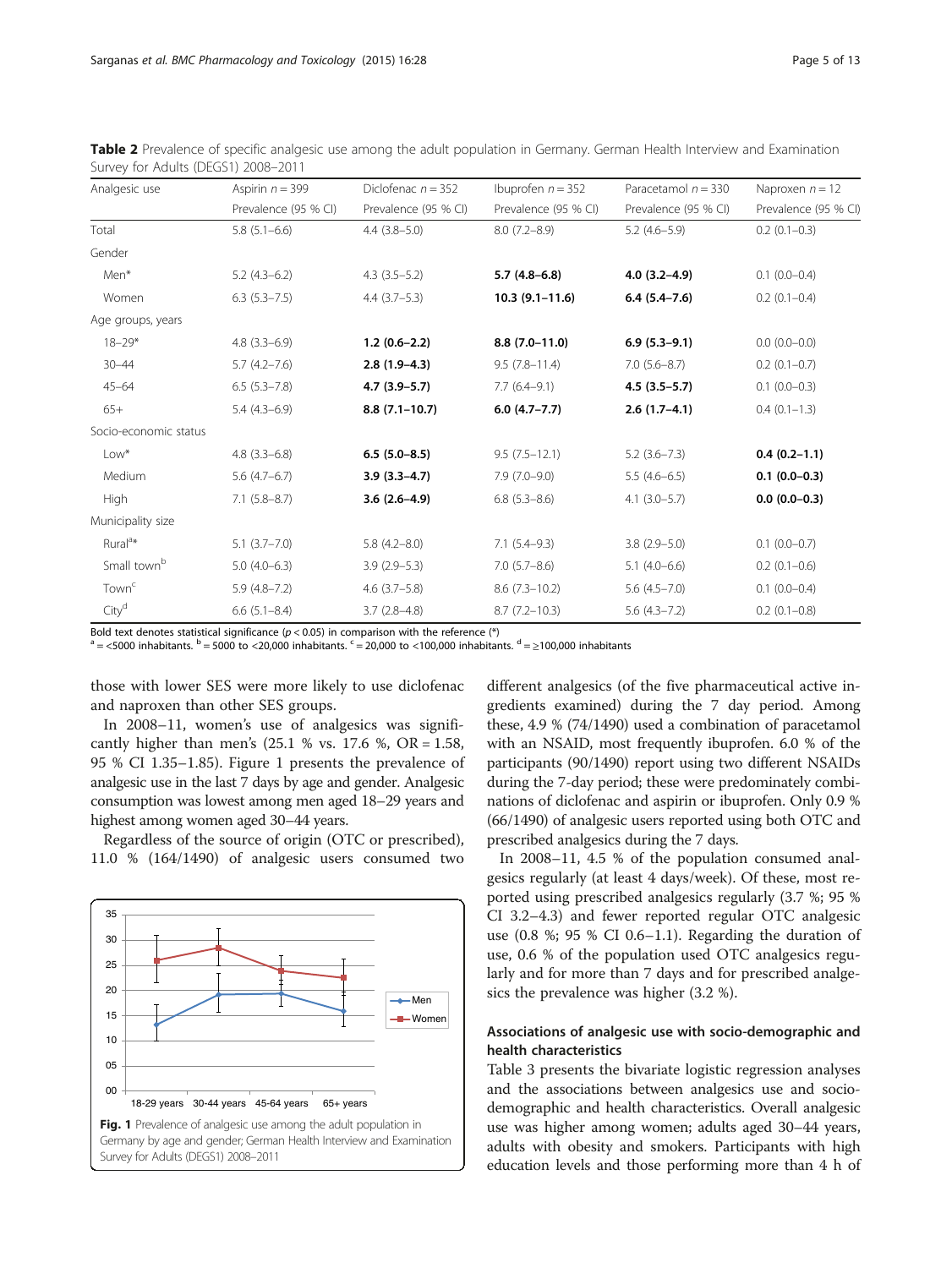| n ל- Page |  |  |
|-----------|--|--|
|           |  |  |

| Analgesic use           | Aspirin $n = 399$    | Diclofenac $n = 352$ | Ibuprofen $n = 352$  | Paracetamol $n = 330$ | Naproxen $n = 12$    |
|-------------------------|----------------------|----------------------|----------------------|-----------------------|----------------------|
|                         | Prevalence (95 % CI) | Prevalence (95 % CI) | Prevalence (95 % CI) | Prevalence (95 % CI)  | Prevalence (95 % CI) |
| Total                   | $5.8(5.1-6.6)$       | $4.4(3.8-5.0)$       | $8.0(7.2 - 8.9)$     | $5.2(4.6-5.9)$        | $0.2(0.1-0.3)$       |
| Gender                  |                      |                      |                      |                       |                      |
| Men*                    | $5.2(4.3-6.2)$       | $4.3(3.5-5.2)$       | $5.7(4.8-6.8)$       | $4.0(3.2 - 4.9)$      | $0.1(0.0-0.4)$       |
| Women                   | $6.3(5.3 - 7.5)$     | $4.4(3.7-5.3)$       | $10.3(9.1-11.6)$     | $6.4(5.4 - 7.6)$      | $0.2(0.1-0.4)$       |
| Age groups, years       |                      |                      |                      |                       |                      |
| $18 - 29*$              | $4.8(3.3-6.9)$       | $1.2(0.6-2.2)$       | $8.8(7.0-11.0)$      | $6.9(5.3-9.1)$        | $0.0(0.0-0.0)$       |
| $30 - 44$               | $5.7(4.2 - 7.6)$     | $2.8(1.9-4.3)$       | $9.5(7.8 - 11.4)$    | $7.0(5.6-8.7)$        | $0.2(0.1-0.7)$       |
| $45 - 64$               | $6.5$ $(5.3 - 7.8)$  | $4.7(3.9-5.7)$       | $7.7(6.4-9.1)$       | $4.5(3.5-5.7)$        | $0.1(0.0-0.3)$       |
| $65+$                   | $5.4(4.3-6.9)$       | $8.8(7.1-10.7)$      | $6.0(4.7 - 7.7)$     | $2.6(1.7-4.1)$        | $0.4(0.1-1.3)$       |
| Socio-economic status   |                      |                      |                      |                       |                      |
| Low*                    | $4.8(3.3-6.8)$       | $6.5(5.0-8.5)$       | $9.5(7.5-12.1)$      | $5.2(3.6 - 7.3)$      | $0.4(0.2-1.1)$       |
| Medium                  | $5.6(4.7-6.7)$       | $3.9(3.3-4.7)$       | $7.9(7.0-9.0)$       | $5.5(4.6-6.5)$        | $0.1(0.0-0.3)$       |
| High                    | $7.1(5.8-8.7)$       | $3.6(2.6-4.9)$       | $6.8$ $(5.3-8.6)$    | $4.1(3.0-5.7)$        | $0.0(0.0-0.3)$       |
| Municipality size       |                      |                      |                      |                       |                      |
| Rural <sup>a*</sup>     | $5.1(3.7 - 7.0)$     | $5.8(4.2 - 8.0)$     | $7.1(5.4-9.3)$       | $3.8(2.9-5.0)$        | $0.1(0.0-0.7)$       |
| Small town <sup>b</sup> | $5.0(4.0-6.3)$       | $3.9(2.9-5.3)$       | $7.0(5.7 - 8.6)$     | $5.1(4.0-6.6)$        | $0.2(0.1-0.6)$       |
| Town <sup>c</sup>       | $5.9(4.8-7.2)$       | $4.6$ (3.7-5.8)      | $8.6(7.3-10.2)$      | $5.6(4.5-7.0)$        | $0.1(0.0-0.4)$       |
| City <sup>d</sup>       | $6.6$ $(5.1-8.4)$    | $3.7(2.8-4.8)$       | $8.7(7.2 - 10.3)$    | $5.6$ (4.3-7.2)       | $0.2(0.1-0.8)$       |

<span id="page-4-0"></span>Table 2 Prevalence of specific analgesic use among the adult population in Germany. German Health Interview and Examination Survey for Adults (DEGS1) 2008–2011

Bold text denotes statistical significance ( $p < 0.05$ ) in comparison with the reference (\*)<br><sup>a</sup> = <5000 inhabitants. <sup>b</sup> = 5000 to <20,000 inhabitants. <sup>c</sup> = 20,000 to <100,000 inhabitants. d = ≥100,000 inhabitants

those with lower SES were more likely to use diclofenac and naproxen than other SES groups.

In 2008–11, women's use of analgesics was significantly higher than men's  $(25.1 %$  vs. 17.6 %, OR = 1.58, 95 % CI 1.35–1.85). Figure 1 presents the prevalence of analgesic use in the last 7 days by age and gender. Analgesic consumption was lowest among men aged 18–29 years and highest among women aged 30–44 years.

Regardless of the source of origin (OTC or prescribed), 11.0 % (164/1490) of analgesic users consumed two



different analgesics (of the five pharmaceutical active ingredients examined) during the 7 day period. Among these, 4.9 % (74/1490) used a combination of paracetamol with an NSAID, most frequently ibuprofen. 6.0 % of the participants (90/1490) report using two different NSAIDs during the 7-day period; these were predominately combinations of diclofenac and aspirin or ibuprofen. Only 0.9 % (66/1490) of analgesic users reported using both OTC and prescribed analgesics during the 7 days.

In 2008–11, 4.5 % of the population consumed analgesics regularly (at least 4 days/week). Of these, most reported using prescribed analgesics regularly (3.7 %; 95 % CI 3.2–4.3) and fewer reported regular OTC analgesic use (0.8 %; 95 % CI 0.6–1.1). Regarding the duration of use, 0.6 % of the population used OTC analgesics regularly and for more than 7 days and for prescribed analgesics the prevalence was higher (3.2 %).

# Associations of analgesic use with socio-demographic and health characteristics

Table [3](#page-5-0) presents the bivariate logistic regression analyses and the associations between analgesics use and sociodemographic and health characteristics. Overall analgesic use was higher among women; adults aged 30–44 years, adults with obesity and smokers. Participants with high education levels and those performing more than 4 h of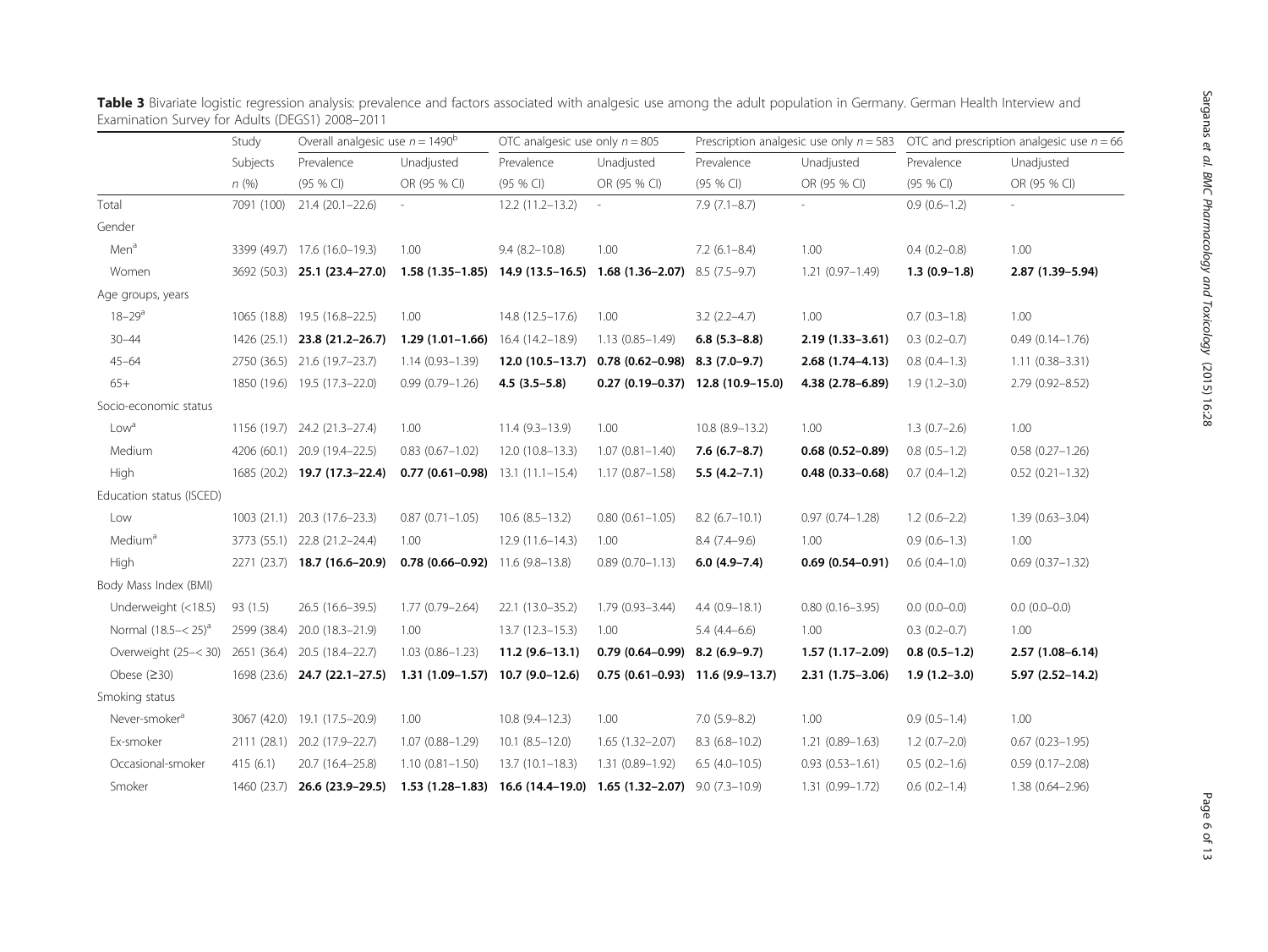|                                   | Study       | Overall analgesic use $n = 1490^b$ |                     | OTC analgesic use only $n = 805$ |                                                                           |                                     | Prescription analgesic use only $n = 583$ |                  | OTC and prescription analgesic use $n = 66$ |
|-----------------------------------|-------------|------------------------------------|---------------------|----------------------------------|---------------------------------------------------------------------------|-------------------------------------|-------------------------------------------|------------------|---------------------------------------------|
|                                   | Subjects    | Prevalence                         | Unadjusted          | Prevalence                       | Unadjusted                                                                | Prevalence                          | Unadjusted                                | Prevalence       | Unadjusted                                  |
|                                   | n(%)        | (95 % CI)                          | OR (95 % CI)        | (95 % CI)                        | OR (95 % CI)                                                              | (95 % C)                            | OR (95 % CI)                              | (95 % C)         | OR (95 % CI)                                |
| Total                             | 7091 (100)  | 21.4 (20.1-22.6)                   | $\sim$              | $12.2(11.2-13.2)$                | $\sim$                                                                    | $7.9(7.1 - 8.7)$                    |                                           | $0.9(0.6-1.2)$   | $\overline{\phantom{a}}$                    |
| Gender                            |             |                                    |                     |                                  |                                                                           |                                     |                                           |                  |                                             |
| Men <sup>a</sup>                  |             | 3399 (49.7) 17.6 (16.0-19.3)       | 1.00                | $9.4(8.2 - 10.8)$                | 1.00                                                                      | $7.2(6.1 - 8.4)$                    | 1.00                                      | $0.4(0.2-0.8)$   | 1.00                                        |
| Women                             | 3692 (50.3) | 25.1 (23.4-27.0)                   |                     |                                  | 1.58 $(1.35-1.85)$ 14.9 $(13.5-16.5)$ 1.68 $(1.36-2.07)$ 8.5 $(7.5-9.7)$  |                                     | $1.21(0.97 - 1.49)$                       | $1.3(0.9-1.8)$   | 2.87 (1.39-5.94)                            |
| Age groups, years                 |             |                                    |                     |                                  |                                                                           |                                     |                                           |                  |                                             |
| $18 - 29a$                        |             | 1065 (18.8) 19.5 (16.8-22.5)       | 1.00                | 14.8 (12.5-17.6)                 | 1.00                                                                      | $3.2$ (2.2-4.7)                     | 1.00                                      | $0.7(0.3-1.8)$   | 1.00                                        |
| $30 - 44$                         | 1426 (25.1) | 23.8 (21.2-26.7)                   | $1.29(1.01-1.66)$   | 16.4 (14.2-18.9)                 | $1.13(0.85 - 1.49)$                                                       | $6.8(5.3 - 8.8)$                    | $2.19(1.33 - 3.61)$                       | $0.3(0.2 - 0.7)$ | $0.49(0.14 - 1.76)$                         |
| $45 - 64$                         | 2750 (36.5) | 21.6 (19.7-23.7)                   | $1.14(0.93 - 1.39)$ | $12.0(10.5-13.7)$                | $0.78$ (0.62-0.98) 8.3 (7.0-9.7)                                          |                                     | $2.68(1.74 - 4.13)$                       | $0.8(0.4-1.3)$   | $1.11(0.38 - 3.31)$                         |
| $65+$                             | 1850 (19.6) | 19.5 (17.3-22.0)                   | $0.99(0.79 - 1.26)$ | $4.5(3.5-5.8)$                   |                                                                           | $0.27$ (0.19-0.37) 12.8 (10.9-15.0) | 4.38 (2.78-6.89)                          | $1.9(1.2 - 3.0)$ | 2.79 (0.92-8.52)                            |
| Socio-economic status             |             |                                    |                     |                                  |                                                                           |                                     |                                           |                  |                                             |
| Low <sup>a</sup>                  |             | 1156 (19.7) 24.2 (21.3-27.4)       | 1.00                | $11.4(9.3-13.9)$                 | 1.00                                                                      | $10.8(8.9-13.2)$                    | 1.00                                      | $1.3(0.7-2.6)$   | 1.00                                        |
| Medium                            | 4206 (60.1) | 20.9 (19.4-22.5)                   | $0.83(0.67 - 1.02)$ | 12.0 (10.8-13.3)                 | $1.07(0.81 - 1.40)$                                                       | $7.6(6.7 - 8.7)$                    | $0.68(0.52 - 0.89)$                       | $0.8(0.5-1.2)$   | $0.58(0.27 - 1.26)$                         |
| High                              |             | 1685 (20.2) 19.7 (17.3-22.4)       | $0.77(0.61 - 0.98)$ | $13.1(11.1-15.4)$                | $1.17(0.87 - 1.58)$                                                       | $5.5(4.2 - 7.1)$                    | $0.48(0.33 - 0.68)$                       | $0.7(0.4-1.2)$   | $0.52(0.21 - 1.32)$                         |
| Education status (ISCED)          |             |                                    |                     |                                  |                                                                           |                                     |                                           |                  |                                             |
| Low                               | 1003(21.1)  | 20.3 (17.6-23.3)                   | $0.87(0.71 - 1.05)$ | $10.6(8.5-13.2)$                 | $0.80(0.61 - 1.05)$                                                       | $8.2(6.7-10.1)$                     | $0.97(0.74 - 1.28)$                       | $1.2(0.6-2.2)$   | $1.39(0.63 - 3.04)$                         |
| Medium <sup>a</sup>               | 3773 (55.1) | 22.8 (21.2-24.4)                   | 1.00                | $12.9(11.6 - 14.3)$              | 1.00                                                                      | $8.4(7.4-9.6)$                      | 1.00                                      | $0.9(0.6-1.3)$   | 1.00                                        |
| High                              | 2271 (23.7) | 18.7 (16.6-20.9)                   | $0.78(0.66 - 0.92)$ | 11.6 (9.8-13.8)                  | $0.89(0.70 - 1.13)$                                                       | $6.0(4.9 - 7.4)$                    | $0.69(0.54 - 0.91)$                       | $0.6(0.4-1.0)$   | $0.69(0.37 - 1.32)$                         |
| Body Mass Index (BMI)             |             |                                    |                     |                                  |                                                                           |                                     |                                           |                  |                                             |
| Underweight (<18.5)               | 93(1.5)     | 26.5 (16.6-39.5)                   | $1.77(0.79 - 2.64)$ | 22.1 (13.0-35.2)                 | 1.79 (0.93-3.44)                                                          | $4.4(0.9-18.1)$                     | $0.80(0.16 - 3.95)$                       | $0.0(0.0-0.0)$   | $0.0(0.0-0.0)$                              |
| Normal (18.5 - < 25) <sup>a</sup> | 2599 (38.4) | 20.0 (18.3-21.9)                   | 1.00                | $13.7(12.3 - 15.3)$              | 1.00                                                                      | $5.4(4.4-6.6)$                      | 1.00                                      | $0.3(0.2-0.7)$   | 1.00                                        |
| Overweight (25-< 30)              | 2651 (36.4) | 20.5 (18.4-22.7)                   | $1.03(0.86 - 1.23)$ | $11.2(9.6-13.1)$                 | $0.79$ $(0.64 - 0.99)$ 8.2 $(6.9 - 9.7)$                                  |                                     | $1.57(1.17-2.09)$                         | $0.8(0.5-1.2)$   | $2.57(1.08 - 6.14)$                         |
| Obese $(230)$                     | 1698 (23.6) | 24.7 (22.1-27.5)                   | $1.31(1.09-1.57)$   | $10.7(9.0-12.6)$                 | $0.75$ (0.61-0.93) 11.6 (9.9-13.7)                                        |                                     | 2.31 (1.75-3.06)                          | $1.9(1.2 - 3.0)$ | 5.97 (2.52-14.2)                            |
| Smoking status                    |             |                                    |                     |                                  |                                                                           |                                     |                                           |                  |                                             |
| Never-smoker <sup>a</sup>         | 3067 (42.0) | 19.1 (17.5-20.9)                   | 1.00                | $10.8(9.4 - 12.3)$               | 1.00                                                                      | $7.0(5.9 - 8.2)$                    | 1.00                                      | $0.9(0.5-1.4)$   | 1.00                                        |
| Ex-smoker                         | 2111(28.1)  | 20.2 (17.9-22.7)                   | $1.07(0.88 - 1.29)$ | $10.1 (8.5 - 12.0)$              | $1.65(1.32 - 2.07)$                                                       | $8.3(6.8-10.2)$                     | $1.21(0.89 - 1.63)$                       | $1.2(0.7-2.0)$   | $0.67(0.23 - 1.95)$                         |
| Occasional-smoker                 | 415(6.1)    | 20.7 (16.4-25.8)                   | $1.10(0.81 - 1.50)$ | $13.7(10.1 - 18.3)$              | 1.31 (0.89-1.92)                                                          | $6.5(4.0-10.5)$                     | $0.93(0.53 - 1.61)$                       | $0.5(0.2-1.6)$   | $0.59(0.17 - 2.08)$                         |
| Smoker                            | 1460 (23.7) | 26.6 (23.9-29.5)                   |                     |                                  | 1.53 $(1.28-1.83)$ 16.6 $(14.4-19.0)$ 1.65 $(1.32-2.07)$ 9.0 $(7.3-10.9)$ |                                     | $1.31(0.99 - 1.72)$                       | $0.6(0.2-1.4)$   | $1.38(0.64 - 2.96)$                         |

<span id="page-5-0"></span>**Table 3** Bivariate logistic regression analysis: prevalence and factors associated with analgesic use among the adult population in Germany. German Health Interview and Examination Survey for Adults (DEGS1) 2008–2011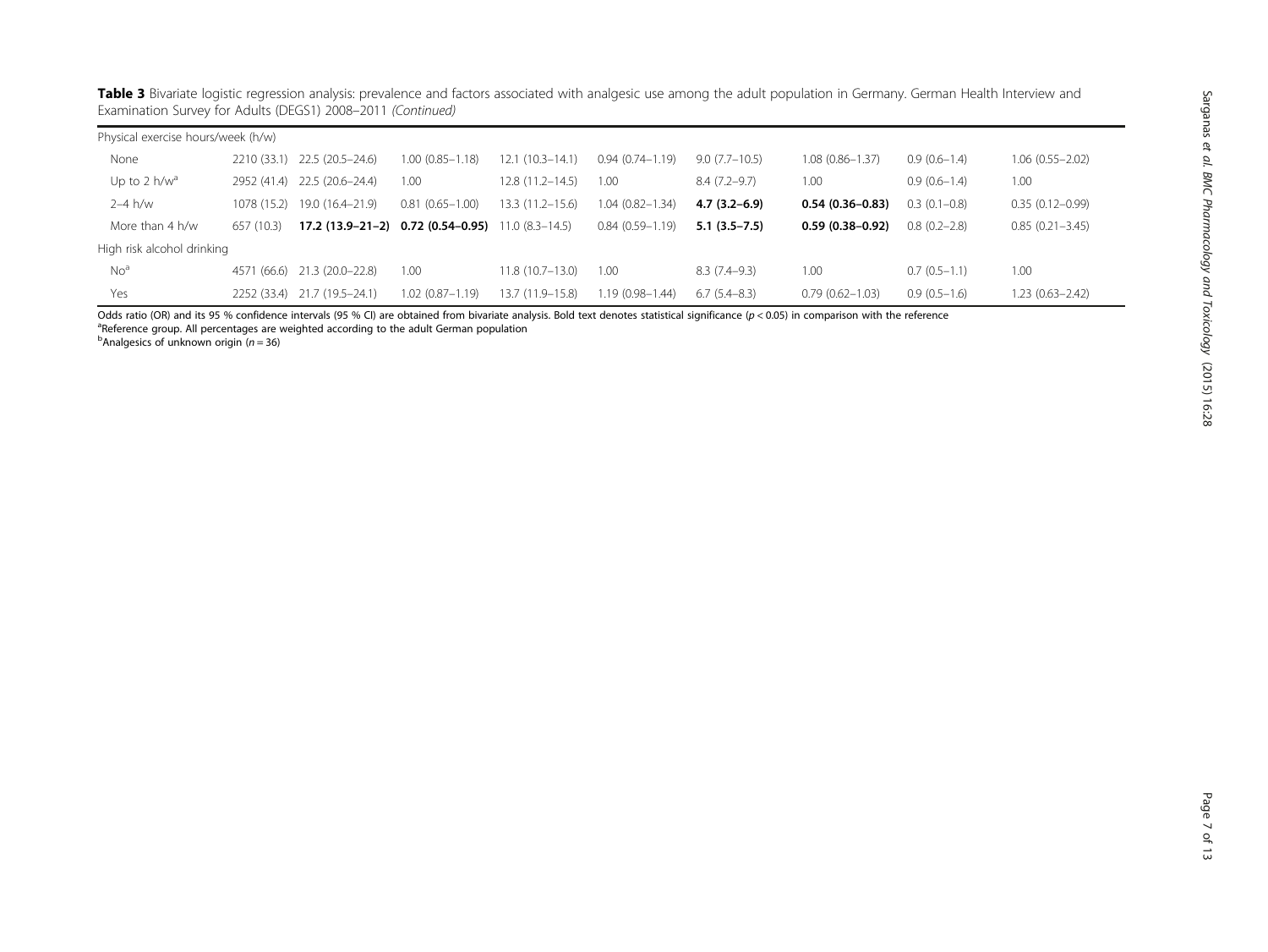Table 3 Bivariate logistic regression analysis: prevalence and factors associated with analgesic use among the adult population in Germany. German Health Interview and Examination Survey for Adults (DEGS1) 2008–2011 (Continued)

| Physical exercise hours/week (h/w) |             |                              |                     |                     |                     |                  |                     |                  |                     |
|------------------------------------|-------------|------------------------------|---------------------|---------------------|---------------------|------------------|---------------------|------------------|---------------------|
| None                               |             | 2210 (33.1) 22.5 (20.5-24.6) | $1.00(0.85 - 1.18)$ | $12.1(10.3-14.1)$   | $0.94(0.74 - 1.19)$ | $9.0(7.7-10.5)$  | $1.08(0.86 - 1.37)$ | $0.9(0.6-1.4)$   | $1.06(0.55 - 2.02)$ |
| Up to $2 h/wa$                     | 2952 (41.4) | 22.5 (20.6-24.4)             | 1.00                | $12.8(11.2 - 14.5)$ | 1.00                | $8.4(7.2-9.7)$   | 1.00                | $0.9(0.6-1.4)$   | 1.00                |
| $2-4 h/w$                          | 1078 (15.2) | 19.0 (16.4-21.9)             | $0.81(0.65 - 1.00)$ | $13.3(11.2 - 15.6)$ | $1.04(0.82 - 1.34)$ | $4.7(3.2 - 6.9)$ | $0.54(0.36 - 0.83)$ | $0.3(0.1-0.8)$   | $0.35(0.12 - 0.99)$ |
| More than 4 h/w                    | 657 (10.3)  | $17.2(13.9 - 21 - 2)$        | $0.72(0.54-0.95)$   | $11.0(8.3 - 14.5)$  | $0.84(0.59 - 1.19)$ | $5.1(3.5 - 7.5)$ | $0.59(0.38 - 0.92)$ | $0.8(0.2 - 2.8)$ | $0.85(0.21 - 3.45)$ |
| High risk alcohol drinking         |             |                              |                     |                     |                     |                  |                     |                  |                     |
| No <sup>a</sup>                    |             | 4571 (66.6) 21.3 (20.0-22.8) | 1.00                | $11.8(10.7-13.0)$   | 1.00                | $8.3(7.4-9.3)$   | 1.00                | $0.7(0.5-1.1)$   | 1.00                |
| Yes                                | 2252 (33.4) | 21.7 (19.5–24.1)             | $1.02(0.87 - 1.19)$ | 13.7 (11.9–15.8)    | 1.19 (0.98-1.44)    | $6.7(5.4 - 8.3)$ | $0.79(0.62 - 1.03)$ | $0.9(0.5-1.6)$   | 1.23 (0.63-2.42)    |

Odds ratio (OR) and its 95 % confidence intervals (95 % CI) are obtained from bivariate analysis. Bold text denotes statistical significance ( $p$  < 0.05) in comparison with the reference

<sup>a</sup>Reference group. All percentages are weighted according to the adult German population

 $<sup>b</sup>$ Analgesics of unknown origin ( $n = 36$ )</sup>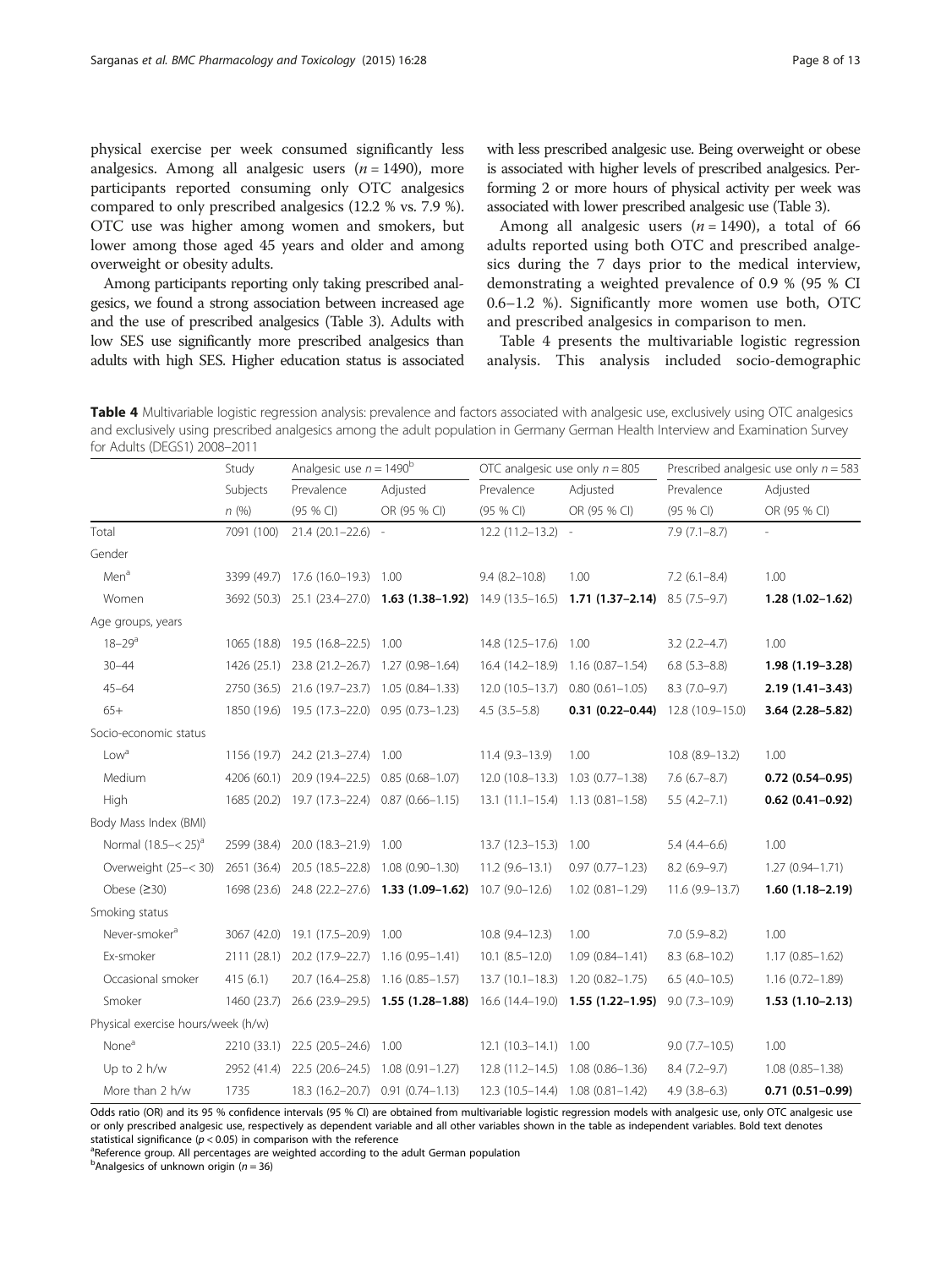<span id="page-7-0"></span>physical exercise per week consumed significantly less analgesics. Among all analgesic users  $(n = 1490)$ , more participants reported consuming only OTC analgesics compared to only prescribed analgesics (12.2 % vs. 7.9 %). OTC use was higher among women and smokers, but lower among those aged 45 years and older and among overweight or obesity adults.

Among participants reporting only taking prescribed analgesics, we found a strong association between increased age and the use of prescribed analgesics (Table [3\)](#page-5-0). Adults with low SES use significantly more prescribed analgesics than adults with high SES. Higher education status is associated

with less prescribed analgesic use. Being overweight or obese is associated with higher levels of prescribed analgesics. Performing 2 or more hours of physical activity per week was associated with lower prescribed analgesic use (Table [3](#page-5-0)).

Among all analgesic users  $(n = 1490)$ , a total of 66 adults reported using both OTC and prescribed analgesics during the 7 days prior to the medical interview, demonstrating a weighted prevalence of 0.9 % (95 % CI 0.6–1.2 %). Significantly more women use both, OTC and prescribed analgesics in comparison to men.

Table 4 presents the multivariable logistic regression analysis. This analysis included socio-demographic

Table 4 Multivariable logistic regression analysis: prevalence and factors associated with analgesic use, exclusively using OTC analgesics and exclusively using prescribed analgesics among the adult population in Germany German Health Interview and Examination Survey for Adults (DEGS1) 2008–2011

|                                    | Study       | Analgesic use $n = 1490^b$                    |                                               | OTC analgesic use only $n = 805$ |                                                          | Prescribed analgesic use only $n = 583$ |                     |
|------------------------------------|-------------|-----------------------------------------------|-----------------------------------------------|----------------------------------|----------------------------------------------------------|-----------------------------------------|---------------------|
|                                    | Subjects    | Prevalence                                    | Adjusted                                      | Prevalence                       | Adjusted                                                 | Prevalence                              | Adjusted            |
|                                    | n(%)        | (95 % CI)                                     | OR (95 % CI)                                  | (95 % CI)                        | OR (95 % CI)                                             | (95 % CI)                               | OR (95 % CI)        |
| Total                              | 7091 (100)  | 21.4 (20.1-22.6) -                            |                                               | 12.2 (11.2-13.2) -               |                                                          | $7.9(7.1 - 8.7)$                        |                     |
| Gender                             |             |                                               |                                               |                                  |                                                          |                                         |                     |
| Men <sup>a</sup>                   |             | 3399 (49.7) 17.6 (16.0-19.3) 1.00             |                                               | $9.4(8.2 - 10.8)$                | 1.00                                                     | $7.2(6.1 - 8.4)$                        | 1.00                |
| Women                              |             |                                               | 3692 (50.3) 25.1 (23.4-27.0) 1.63 (1.38-1.92) |                                  | 14.9 (13.5-16.5) <b>1.71 (1.37-2.14)</b> 8.5 (7.5-9.7)   |                                         | $1.28(1.02 - 1.62)$ |
| Age groups, years                  |             |                                               |                                               |                                  |                                                          |                                         |                     |
| $18 - 29a$                         |             | 1065 (18.8) 19.5 (16.8-22.5) 1.00             |                                               | $14.8(12.5 - 17.6)$              | 1.00                                                     | $3.2$ (2.2-4.7)                         | 1.00                |
| $30 - 44$                          |             | 1426 (25.1) 23.8 (21.2-26.7) 1.27 (0.98-1.64) |                                               | 16.4 (14.2-18.9)                 | $1.16(0.87 - 1.54)$                                      | $6.8$ $(5.3-8.8)$                       | 1.98 (1.19 - 3.28)  |
| $45 - 64$                          |             | 2750 (36.5) 21.6 (19.7-23.7) 1.05 (0.84-1.33) |                                               | $12.0(10.5-13.7)$                | $0.80(0.61 - 1.05)$                                      | $8.3(7.0-9.7)$                          | $2.19(1.41 - 3.43)$ |
| $65+$                              |             | 1850 (19.6) 19.5 (17.3-22.0) 0.95 (0.73-1.23) |                                               | $4.5(3.5-5.8)$                   | $0.31(0.22 - 0.44)$                                      | 12.8 (10.9-15.0)                        | 3.64 (2.28-5.82)    |
| Socio-economic status              |             |                                               |                                               |                                  |                                                          |                                         |                     |
| Low <sup>a</sup>                   |             | 1156 (19.7) 24.2 (21.3-27.4) 1.00             |                                               | $11.4(9.3-13.9)$                 | 1.00                                                     | 10.8 (8.9-13.2)                         | 1.00                |
| Medium                             |             | 4206 (60.1) 20.9 (19.4-22.5) 0.85 (0.68-1.07) |                                               |                                  | 12.0 (10.8-13.3) 1.03 (0.77-1.38)                        | $7.6(6.7 - 8.7)$                        | $0.72(0.54 - 0.95)$ |
| High                               | 1685 (20.2) | 19.7 (17.3-22.4) 0.87 (0.66-1.15)             |                                               |                                  | 13.1 (11.1-15.4) 1.13 (0.81-1.58)                        | $5.5(4.2 - 7.1)$                        | $0.62$ (0.41-0.92)  |
| Body Mass Index (BMI)              |             |                                               |                                               |                                  |                                                          |                                         |                     |
| Normal (18.5 - < 25) <sup>a</sup>  | 2599 (38.4) | 20.0 (18.3-21.9) 1.00                         |                                               | $13.7(12.3 - 15.3)$              | 1.00                                                     | $5.4(4.4-6.6)$                          | 1.00                |
| Overweight (25-< 30)               | 2651 (36.4) |                                               | 20.5 (18.5-22.8) 1.08 (0.90-1.30)             | $11.2(9.6 - 13.1)$               | $0.97(0.77 - 1.23)$                                      | $8.2(6.9-9.7)$                          | $1.27(0.94 - 1.71)$ |
| Obese $(230)$                      | 1698 (23.6) |                                               | 24.8 (22.2-27.6) 1.33 (1.09-1.62)             | $10.7(9.0-12.6)$                 | $1.02(0.81 - 1.29)$                                      | 11.6 (9.9-13.7)                         | $1.60(1.18-2.19)$   |
| Smoking status                     |             |                                               |                                               |                                  |                                                          |                                         |                     |
| Never-smoker <sup>a</sup>          | 3067 (42.0) | 19.1 (17.5-20.9) 1.00                         |                                               | $10.8(9.4 - 12.3)$               | 1.00                                                     | $7.0(5.9 - 8.2)$                        | 1.00                |
| Ex-smoker                          | 2111 (28.1) |                                               | 20.2 (17.9-22.7) 1.16 (0.95-1.41)             | $10.1 (8.5 - 12.0)$              | $1.09(0.84 - 1.41)$                                      | $8.3(6.8-10.2)$                         | $1.17(0.85 - 1.62)$ |
| Occasional smoker                  | 415(6.1)    |                                               | 20.7 (16.4-25.8) 1.16 (0.85-1.57)             | $13.7(10.1 - 18.3)$              | $1.20(0.82 - 1.75)$                                      | $6.5(4.0-10.5)$                         | $1.16(0.72 - 1.89)$ |
| Smoker                             | 1460 (23.7) |                                               | 26.6 (23.9–29.5) 1.55 (1.28–1.88)             |                                  | $16.6(14.4-19.0)$ <b>1.55 (1.22-1.95)</b> 9.0 (7.3-10.9) |                                         | $1.53(1.10-2.13)$   |
| Physical exercise hours/week (h/w) |             |                                               |                                               |                                  |                                                          |                                         |                     |
| None <sup>a</sup>                  | 2210 (33.1) | $22.5(20.5-24.6)$                             | 1.00                                          | $12.1(10.3-14.1)$                | 1.00                                                     | $9.0(7.7-10.5)$                         | 1.00                |
| Up to 2 h/w                        |             | 2952 (41.4) 22.5 (20.6-24.5) 1.08 (0.91-1.27) |                                               |                                  | 12.8 (11.2-14.5) 1.08 (0.86-1.36)                        | $8.4(7.2-9.7)$                          | $1.08(0.85 - 1.38)$ |
| More than 2 h/w                    | 1735        |                                               | 18.3 (16.2-20.7) 0.91 (0.74-1.13)             |                                  | 12.3 (10.5-14.4) 1.08 (0.81-1.42)                        | $4.9(3.8-6.3)$                          | $0.71(0.51 - 0.99)$ |

Odds ratio (OR) and its 95 % confidence intervals (95 % CI) are obtained from multivariable logistic regression models with analgesic use, only OTC analgesic use or only prescribed analgesic use, respectively as dependent variable and all other variables shown in the table as independent variables. Bold text denotes statistical significance ( $p < 0.05$ ) in comparison with the reference

<sup>a</sup>Reference group. All percentages are weighted according to the adult German population

 $<sup>b</sup>$ Analgesics of unknown origin ( $n = 36$ )</sup>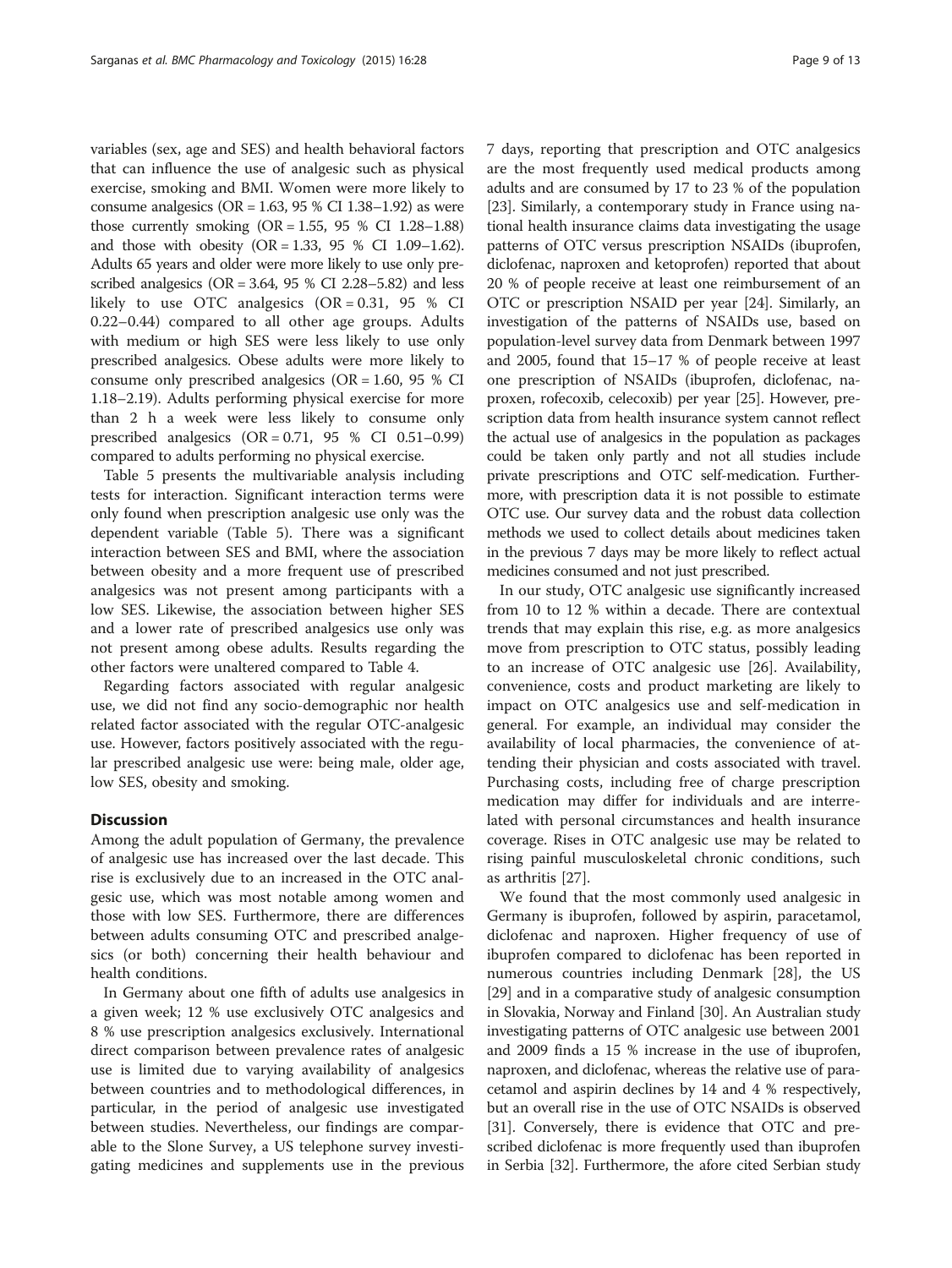variables (sex, age and SES) and health behavioral factors that can influence the use of analgesic such as physical exercise, smoking and BMI. Women were more likely to consume analgesics (OR =  $1.63$ , 95 % CI 1.38–1.92) as were those currently smoking  $(OR = 1.55, 95 % CI 1.28-1.88)$ and those with obesity  $(OR = 1.33, 95 % CI 1.09-1.62)$ . Adults 65 years and older were more likely to use only prescribed analgesics ( $OR = 3.64$ , 95 % CI 2.28–5.82) and less likely to use OTC analgesics  $(OR = 0.31, 95 %$  CI 0.22–0.44) compared to all other age groups. Adults with medium or high SES were less likely to use only prescribed analgesics. Obese adults were more likely to consume only prescribed analgesics ( $OR = 1.60$ , 95 % CI 1.18–2.19). Adults performing physical exercise for more than 2 h a week were less likely to consume only prescribed analgesics  $(OR = 0.71, 95 % CI 0.51-0.99)$ compared to adults performing no physical exercise.

Table [5](#page-9-0) presents the multivariable analysis including tests for interaction. Significant interaction terms were only found when prescription analgesic use only was the dependent variable (Table [5\)](#page-9-0). There was a significant interaction between SES and BMI, where the association between obesity and a more frequent use of prescribed analgesics was not present among participants with a low SES. Likewise, the association between higher SES and a lower rate of prescribed analgesics use only was not present among obese adults. Results regarding the other factors were unaltered compared to Table [4](#page-7-0).

Regarding factors associated with regular analgesic use, we did not find any socio-demographic nor health related factor associated with the regular OTC-analgesic use. However, factors positively associated with the regular prescribed analgesic use were: being male, older age, low SES, obesity and smoking.

#### **Discussion**

Among the adult population of Germany, the prevalence of analgesic use has increased over the last decade. This rise is exclusively due to an increased in the OTC analgesic use, which was most notable among women and those with low SES. Furthermore, there are differences between adults consuming OTC and prescribed analgesics (or both) concerning their health behaviour and health conditions.

In Germany about one fifth of adults use analgesics in a given week; 12 % use exclusively OTC analgesics and 8 % use prescription analgesics exclusively. International direct comparison between prevalence rates of analgesic use is limited due to varying availability of analgesics between countries and to methodological differences, in particular, in the period of analgesic use investigated between studies. Nevertheless, our findings are comparable to the Slone Survey, a US telephone survey investigating medicines and supplements use in the previous 7 days, reporting that prescription and OTC analgesics are the most frequently used medical products among adults and are consumed by 17 to 23 % of the population [[23](#page-11-0)]. Similarly, a contemporary study in France using national health insurance claims data investigating the usage patterns of OTC versus prescription NSAIDs (ibuprofen, diclofenac, naproxen and ketoprofen) reported that about 20 % of people receive at least one reimbursement of an OTC or prescription NSAID per year [[24](#page-11-0)]. Similarly, an investigation of the patterns of NSAIDs use, based on population-level survey data from Denmark between 1997 and 2005, found that 15–17 % of people receive at least one prescription of NSAIDs (ibuprofen, diclofenac, naproxen, rofecoxib, celecoxib) per year [\[25](#page-11-0)]. However, prescription data from health insurance system cannot reflect the actual use of analgesics in the population as packages could be taken only partly and not all studies include private prescriptions and OTC self-medication. Furthermore, with prescription data it is not possible to estimate OTC use. Our survey data and the robust data collection methods we used to collect details about medicines taken in the previous 7 days may be more likely to reflect actual medicines consumed and not just prescribed.

In our study, OTC analgesic use significantly increased from 10 to 12 % within a decade. There are contextual trends that may explain this rise, e.g. as more analgesics move from prescription to OTC status, possibly leading to an increase of OTC analgesic use [\[26](#page-11-0)]. Availability, convenience, costs and product marketing are likely to impact on OTC analgesics use and self-medication in general. For example, an individual may consider the availability of local pharmacies, the convenience of attending their physician and costs associated with travel. Purchasing costs, including free of charge prescription medication may differ for individuals and are interrelated with personal circumstances and health insurance coverage. Rises in OTC analgesic use may be related to rising painful musculoskeletal chronic conditions, such as arthritis [\[27](#page-11-0)].

We found that the most commonly used analgesic in Germany is ibuprofen, followed by aspirin, paracetamol, diclofenac and naproxen. Higher frequency of use of ibuprofen compared to diclofenac has been reported in numerous countries including Denmark [[28](#page-11-0)], the US [[29](#page-11-0)] and in a comparative study of analgesic consumption in Slovakia, Norway and Finland [[30](#page-11-0)]. An Australian study investigating patterns of OTC analgesic use between 2001 and 2009 finds a 15 % increase in the use of ibuprofen, naproxen, and diclofenac, whereas the relative use of paracetamol and aspirin declines by 14 and 4 % respectively, but an overall rise in the use of OTC NSAIDs is observed [[31](#page-11-0)]. Conversely, there is evidence that OTC and prescribed diclofenac is more frequently used than ibuprofen in Serbia [\[32\]](#page-11-0). Furthermore, the afore cited Serbian study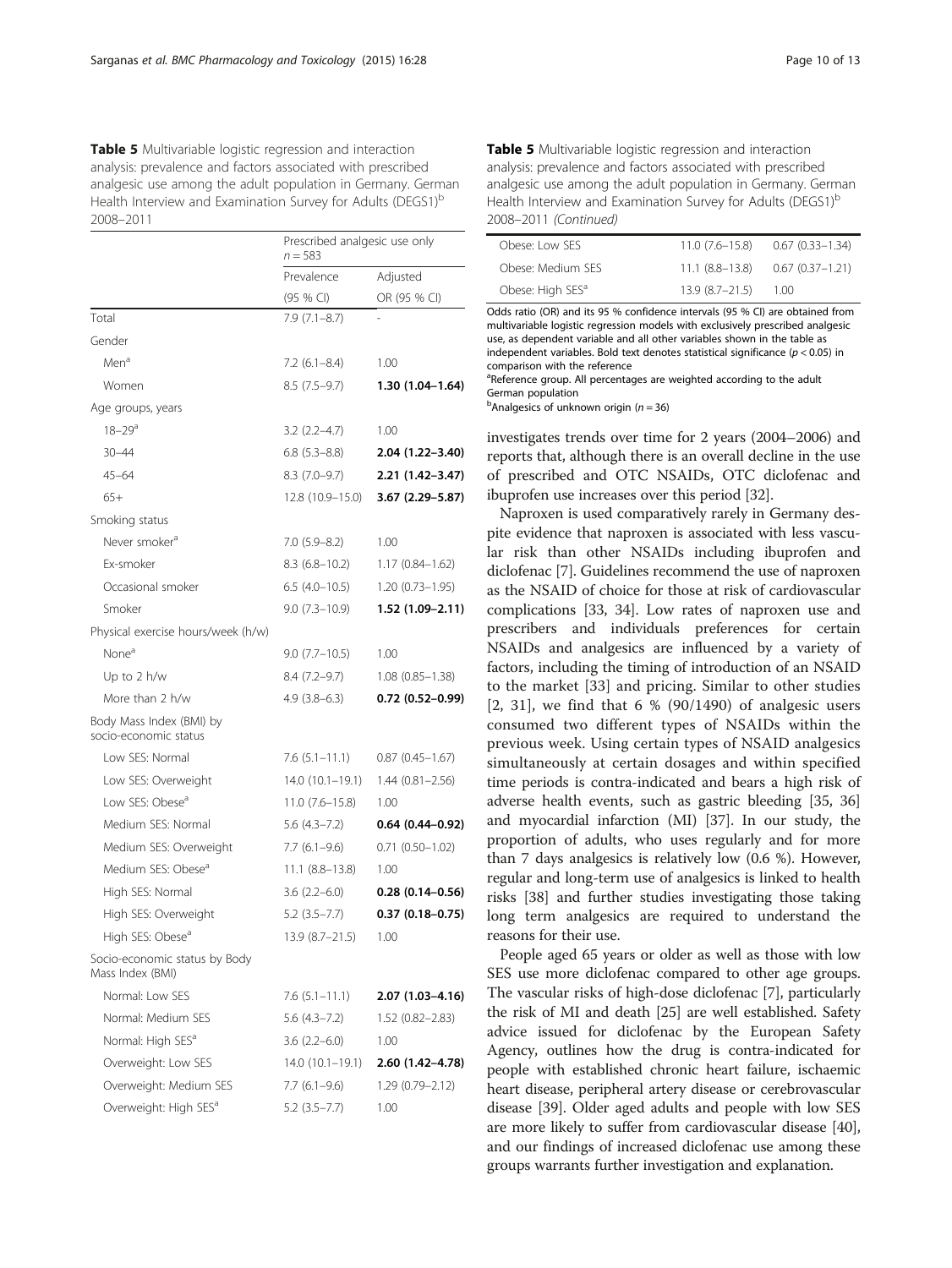<span id="page-9-0"></span>Table 5 Multivariable logistic regression and interaction analysis: prevalence and factors associated with prescribed analgesic use among the adult population in Germany. German Health Interview and Examination Survey for Adults (DEGS1)<sup>b</sup> 2008–2011

|                                                   | Prescribed analgesic use only<br>$n = 583$ |                     |  |  |
|---------------------------------------------------|--------------------------------------------|---------------------|--|--|
|                                                   | Prevalence                                 | Adjusted            |  |  |
|                                                   | (95 % CI)                                  | OR (95 % CI)        |  |  |
| Total                                             | $7.9(7.1 - 8.7)$                           |                     |  |  |
| Gender                                            |                                            |                     |  |  |
| Men <sup>a</sup>                                  | $7.2(6.1 - 8.4)$                           | 1.00                |  |  |
| Women                                             | $8.5(7.5-9.7)$                             | 1.30 (1.04–1.64)    |  |  |
| Age groups, years                                 |                                            |                     |  |  |
| $18 - 29a$                                        | $3.2$ (2.2–4.7)                            | 1.00                |  |  |
| $30 - 44$                                         | $6.8$ $(5.3 - 8.8)$                        | 2.04 (1.22–3.40)    |  |  |
| $45 - 64$                                         | $8.3(7.0-9.7)$                             | 2.21 (1.42–3.47)    |  |  |
| $65+$                                             | 12.8 (10.9–15.0)                           | $3.67(2.29 - 5.87)$ |  |  |
| Smoking status                                    |                                            |                     |  |  |
| Never smoker <sup>a</sup>                         | $7.0(5.9 - 8.2)$                           | 1.00                |  |  |
| Ex-smoker                                         | $8.3(6.8-10.2)$                            | $1.17(0.84 - 1.62)$ |  |  |
| Occasional smoker                                 | $6.5(4.0-10.5)$                            | $1.20(0.73 - 1.95)$ |  |  |
| Smoker                                            | $9.0(7.3-10.9)$                            | 1.52 (1.09–2.11)    |  |  |
| Physical exercise hours/week (h/w)                |                                            |                     |  |  |
| None <sup>a</sup>                                 | $9.0(7.7-10.5)$                            | 1.00                |  |  |
| Up to $2 h/w$                                     | $8.4(7.2 - 9.7)$                           | $1.08(0.85 - 1.38)$ |  |  |
| More than 2 h/w                                   | $4.9(3.8-6.3)$                             | 0.72 (0.52–0.99)    |  |  |
| Body Mass Index (BMI) by<br>socio-economic status |                                            |                     |  |  |
| Low SES: Normal                                   | 7.6 (5.1–11.1)                             | $0.87(0.45 - 1.67)$ |  |  |
| Low SES: Overweight                               | $14.0(10.1-19.1)$                          | $1.44(0.81 - 2.56)$ |  |  |
| Low SES: Obese <sup>a</sup>                       | $11.0(7.6-15.8)$                           | 1.00                |  |  |
| Medium SES: Normal                                | $5.6(4.3-7.2)$                             | $0.64(0.44 - 0.92)$ |  |  |
| Medium SES: Overweight                            | $7.7(6.1-9.6)$                             | $0.71(0.50 - 1.02)$ |  |  |
| Medium SES: Obese <sup>a</sup>                    | $11.1 (8.8 - 13.8)$                        | 1.00                |  |  |
| High SES: Normal                                  | $3.6(2.2 - 6.0)$                           | $0.28(0.14-0.56)$   |  |  |
| High SES: Overweight                              | $5.2$ (3.5-7.7)                            | $0.37(0.18 - 0.75)$ |  |  |
| High SES: Obese <sup>a</sup>                      | 13.9 (8.7-21.5)                            | 1.00                |  |  |
| Socio-economic status by Body<br>Mass Index (BMI) |                                            |                     |  |  |
| Normal: Low SES                                   | 7.6 (5.1–11.1)                             | 2.07 (1.03–4.16)    |  |  |
| Normal: Medium SES                                | 5.6 (4.3–7.2)                              | $1.52(0.82 - 2.83)$ |  |  |
| Normal: High SES <sup>a</sup>                     | $3.6(2.2-6.0)$                             | 1.00                |  |  |
| Overweight: Low SES                               | $14.0(10.1-19.1)$                          | 2.60 (1.42–4.78)    |  |  |
| Overweight: Medium SES                            | $7.7(6.1-9.6)$                             | 1.29 (0.79-2.12)    |  |  |
| Overweight: High SES <sup>a</sup>                 | 5.2 (3.5–7.7)                              | 1.00                |  |  |

| Table 5 Multivariable logistic regression and interaction               |
|-------------------------------------------------------------------------|
| analysis: prevalence and factors associated with prescribed             |
| analgesic use among the adult population in Germany. German             |
| Health Interview and Examination Survey for Adults (DEGS1) <sup>b</sup> |
| 2008-2011 (Continued)                                                   |

| Obese: Low SES               |                  | $11.0(7.6-15.8)$ 0.67 (0.33-1.34)    |
|------------------------------|------------------|--------------------------------------|
| Obese: Medium SES            |                  | $11.1 (8.8 - 13.8)$ 0.67 (0.37-1.21) |
| Obese: High SES <sup>a</sup> | $13.9(8.7-21.5)$ | - 1.00                               |

Odds ratio (OR) and its 95 % confidence intervals (95 % CI) are obtained from multivariable logistic regression models with exclusively prescribed analgesic use, as dependent variable and all other variables shown in the table as independent variables. Bold text denotes statistical significance ( $p < 0.05$ ) in comparison with the reference

<sup>a</sup>Reference group. All percentages are weighted according to the adult German population

 $<sup>b</sup>$ Analgesics of unknown origin ( $n = 36$ )</sup>

investigates trends over time for 2 years (2004–2006) and reports that, although there is an overall decline in the use of prescribed and OTC NSAIDs, OTC diclofenac and ibuprofen use increases over this period [\[32\]](#page-11-0).

Naproxen is used comparatively rarely in Germany despite evidence that naproxen is associated with less vascular risk than other NSAIDs including ibuprofen and diclofenac [[7\]](#page-11-0). Guidelines recommend the use of naproxen as the NSAID of choice for those at risk of cardiovascular complications [\[33, 34\]](#page-11-0). Low rates of naproxen use and prescribers and individuals preferences for certain NSAIDs and analgesics are influenced by a variety of factors, including the timing of introduction of an NSAID to the market [[33](#page-11-0)] and pricing. Similar to other studies [[2, 31\]](#page-11-0), we find that 6 %  $(90/1490)$  of analgesic users consumed two different types of NSAIDs within the previous week. Using certain types of NSAID analgesics simultaneously at certain dosages and within specified time periods is contra-indicated and bears a high risk of adverse health events, such as gastric bleeding [\[35, 36](#page-11-0)] and myocardial infarction (MI) [\[37](#page-12-0)]. In our study, the proportion of adults, who uses regularly and for more than 7 days analgesics is relatively low (0.6 %). However, regular and long-term use of analgesics is linked to health risks [\[38\]](#page-12-0) and further studies investigating those taking long term analgesics are required to understand the reasons for their use.

People aged 65 years or older as well as those with low SES use more diclofenac compared to other age groups. The vascular risks of high-dose diclofenac [\[7](#page-11-0)], particularly the risk of MI and death [[25](#page-11-0)] are well established. Safety advice issued for diclofenac by the European Safety Agency, outlines how the drug is contra-indicated for people with established chronic heart failure, ischaemic heart disease, peripheral artery disease or cerebrovascular disease [[39](#page-12-0)]. Older aged adults and people with low SES are more likely to suffer from cardiovascular disease [[40](#page-12-0)], and our findings of increased diclofenac use among these groups warrants further investigation and explanation.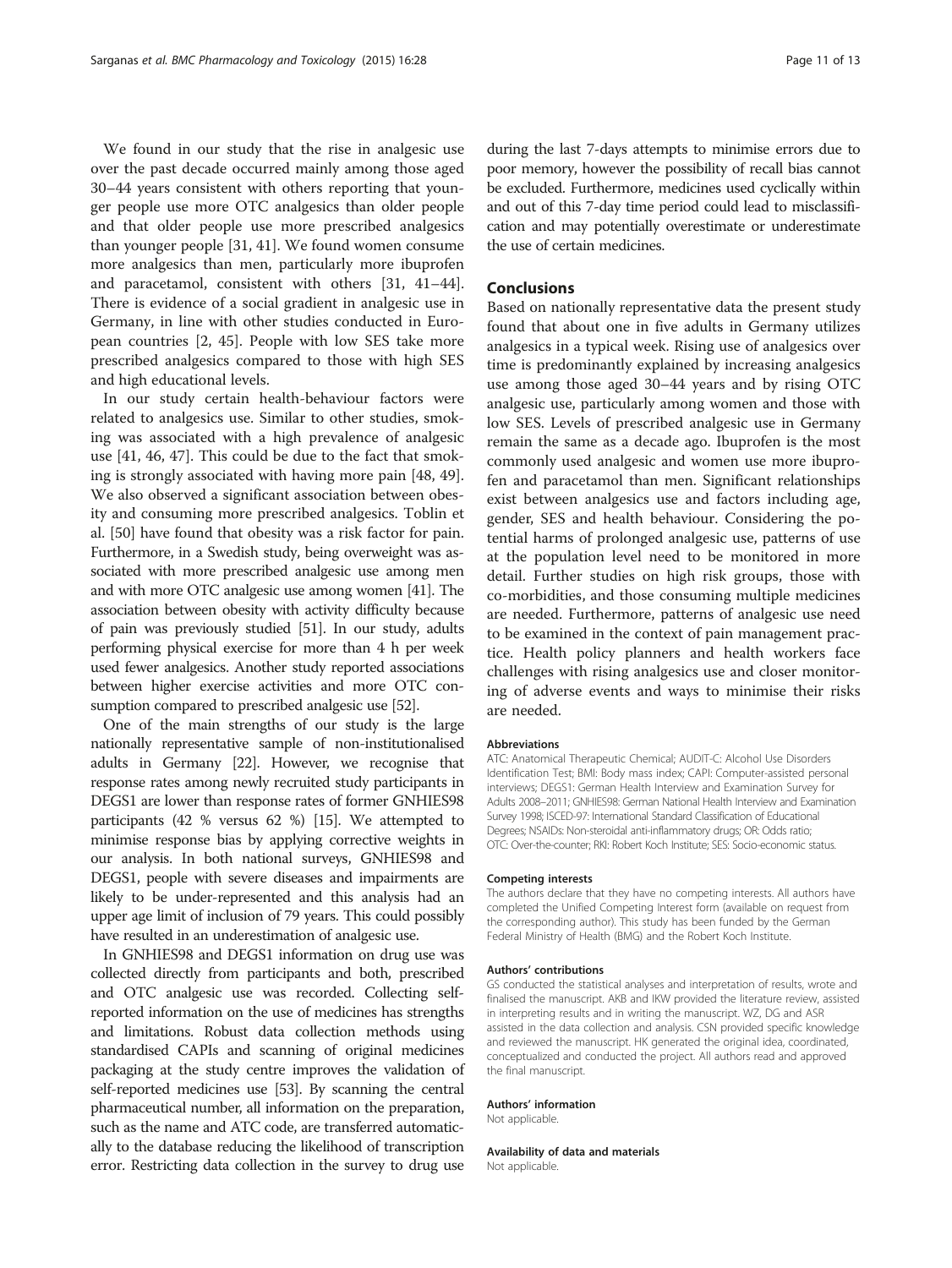We found in our study that the rise in analgesic use over the past decade occurred mainly among those aged 30–44 years consistent with others reporting that younger people use more OTC analgesics than older people and that older people use more prescribed analgesics than younger people [[31,](#page-11-0) [41](#page-12-0)]. We found women consume more analgesics than men, particularly more ibuprofen and paracetamol, consistent with others [[31](#page-11-0), [41](#page-12-0)–[44](#page-12-0)]. There is evidence of a social gradient in analgesic use in Germany, in line with other studies conducted in European countries [\[2](#page-11-0), [45\]](#page-12-0). People with low SES take more prescribed analgesics compared to those with high SES and high educational levels.

In our study certain health-behaviour factors were related to analgesics use. Similar to other studies, smoking was associated with a high prevalence of analgesic use [\[41](#page-12-0), [46, 47\]](#page-12-0). This could be due to the fact that smoking is strongly associated with having more pain [\[48](#page-12-0), [49](#page-12-0)]. We also observed a significant association between obesity and consuming more prescribed analgesics. Toblin et al. [[50\]](#page-12-0) have found that obesity was a risk factor for pain. Furthermore, in a Swedish study, being overweight was associated with more prescribed analgesic use among men and with more OTC analgesic use among women [[41](#page-12-0)]. The association between obesity with activity difficulty because of pain was previously studied [[51](#page-12-0)]. In our study, adults performing physical exercise for more than 4 h per week used fewer analgesics. Another study reported associations between higher exercise activities and more OTC consumption compared to prescribed analgesic use [\[52\]](#page-12-0).

One of the main strengths of our study is the large nationally representative sample of non-institutionalised adults in Germany [\[22\]](#page-11-0). However, we recognise that response rates among newly recruited study participants in DEGS1 are lower than response rates of former GNHIES98 participants (42 % versus 62 %) [\[15](#page-11-0)]. We attempted to minimise response bias by applying corrective weights in our analysis. In both national surveys, GNHIES98 and DEGS1, people with severe diseases and impairments are likely to be under-represented and this analysis had an upper age limit of inclusion of 79 years. This could possibly have resulted in an underestimation of analgesic use.

In GNHIES98 and DEGS1 information on drug use was collected directly from participants and both, prescribed and OTC analgesic use was recorded. Collecting selfreported information on the use of medicines has strengths and limitations. Robust data collection methods using standardised CAPIs and scanning of original medicines packaging at the study centre improves the validation of self-reported medicines use [[53](#page-12-0)]. By scanning the central pharmaceutical number, all information on the preparation, such as the name and ATC code, are transferred automatically to the database reducing the likelihood of transcription error. Restricting data collection in the survey to drug use during the last 7-days attempts to minimise errors due to poor memory, however the possibility of recall bias cannot be excluded. Furthermore, medicines used cyclically within and out of this 7-day time period could lead to misclassification and may potentially overestimate or underestimate the use of certain medicines.

# Conclusions

Based on nationally representative data the present study found that about one in five adults in Germany utilizes analgesics in a typical week. Rising use of analgesics over time is predominantly explained by increasing analgesics use among those aged 30–44 years and by rising OTC analgesic use, particularly among women and those with low SES. Levels of prescribed analgesic use in Germany remain the same as a decade ago. Ibuprofen is the most commonly used analgesic and women use more ibuprofen and paracetamol than men. Significant relationships exist between analgesics use and factors including age, gender, SES and health behaviour. Considering the potential harms of prolonged analgesic use, patterns of use at the population level need to be monitored in more detail. Further studies on high risk groups, those with co-morbidities, and those consuming multiple medicines are needed. Furthermore, patterns of analgesic use need to be examined in the context of pain management practice. Health policy planners and health workers face challenges with rising analgesics use and closer monitoring of adverse events and ways to minimise their risks are needed.

#### Abbreviations

ATC: Anatomical Therapeutic Chemical; AUDIT-C: Alcohol Use Disorders Identification Test; BMI: Body mass index; CAPI: Computer-assisted personal interviews; DEGS1: German Health Interview and Examination Survey for Adults 2008–2011; GNHIES98: German National Health Interview and Examination Survey 1998; ISCED-97: International Standard Classification of Educational Degrees; NSAIDs: Non-steroidal anti-inflammatory drugs; OR: Odds ratio; OTC: Over-the-counter; RKI: Robert Koch Institute; SES: Socio-economic status.

#### Competing interests

The authors declare that they have no competing interests. All authors have completed the Unified Competing Interest form (available on request from the corresponding author). This study has been funded by the German Federal Ministry of Health (BMG) and the Robert Koch Institute.

#### Authors' contributions

GS conducted the statistical analyses and interpretation of results, wrote and finalised the manuscript. AKB and IKW provided the literature review, assisted in interpreting results and in writing the manuscript. WZ, DG and ASR assisted in the data collection and analysis. CSN provided specific knowledge and reviewed the manuscript. HK generated the original idea, coordinated, conceptualized and conducted the project. All authors read and approved the final manuscript.

#### Authors' information

Not applicable.

#### Availability of data and materials Not applicable.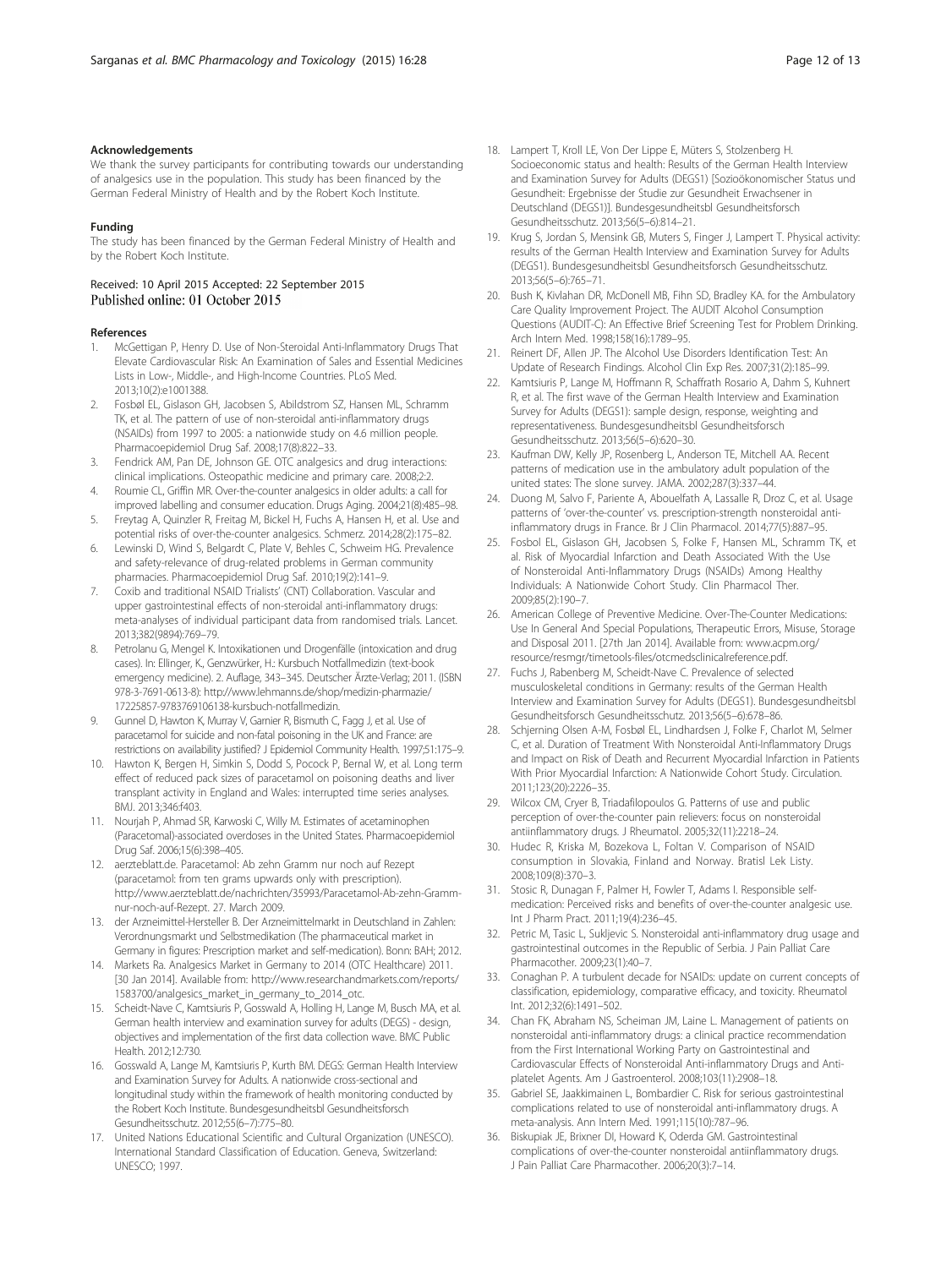#### <span id="page-11-0"></span>Acknowledgements

We thank the survey participants for contributing towards our understanding of analgesics use in the population. This study has been financed by the German Federal Ministry of Health and by the Robert Koch Institute.

#### Funding

The study has been financed by the German Federal Ministry of Health and by the Robert Koch Institute.

#### Received: 10 April 2015 Accepted: 22 September 2015 Published online: 01 October 2015

#### References

- 1. McGettigan P, Henry D. Use of Non-Steroidal Anti-Inflammatory Drugs That Elevate Cardiovascular Risk: An Examination of Sales and Essential Medicines Lists in Low-, Middle-, and High-Income Countries. PLoS Med. 2013;10(2):e1001388.
- 2. Fosbøl EL, Gislason GH, Jacobsen S, Abildstrom SZ, Hansen ML, Schramm TK, et al. The pattern of use of non-steroidal anti-inflammatory drugs (NSAIDs) from 1997 to 2005: a nationwide study on 4.6 million people. Pharmacoepidemiol Drug Saf. 2008;17(8):822–33.
- 3. Fendrick AM, Pan DE, Johnson GE. OTC analgesics and drug interactions: clinical implications. Osteopathic medicine and primary care. 2008;2:2.
- 4. Roumie CL, Griffin MR. Over-the-counter analgesics in older adults: a call for improved labelling and consumer education. Drugs Aging. 2004;21(8):485–98.
- 5. Freytag A, Quinzler R, Freitag M, Bickel H, Fuchs A, Hansen H, et al. Use and potential risks of over-the-counter analgesics. Schmerz. 2014;28(2):175–82.
- Lewinski D, Wind S, Belgardt C, Plate V, Behles C, Schweim HG. Prevalence and safety-relevance of drug-related problems in German community pharmacies. Pharmacoepidemiol Drug Saf. 2010;19(2):141–9.
- 7. Coxib and traditional NSAID Trialists' (CNT) Collaboration. Vascular and upper gastrointestinal effects of non-steroidal anti-inflammatory drugs: meta-analyses of individual participant data from randomised trials. Lancet. 2013;382(9894):769–79.
- 8. Petrolanu G, Mengel K. Intoxikationen und Drogenfälle (intoxication and drug cases). In: Ellinger, K., Genzwürker, H.: Kursbuch Notfallmedizin (text-book emergency medicine). 2. Auflage, 343–345. Deutscher Ärzte-Verlag; 2011. (ISBN 978-3-7691-0613-8): [http://www.lehmanns.de/shop/medizin-pharmazie/](http://www.lehmanns.de/shop/medizin-pharmazie/17225857-9783769106138-kursbuch-notfallmedizin) [17225857-9783769106138-kursbuch-notfallmedizin.](http://www.lehmanns.de/shop/medizin-pharmazie/17225857-9783769106138-kursbuch-notfallmedizin)
- 9. Gunnel D, Hawton K, Murray V, Garnier R, Bismuth C, Fagg J, et al. Use of paracetamol for suicide and non-fatal poisoning in the UK and France: are restrictions on availability justified? J Epidemiol Community Health. 1997;51:175–9.
- 10. Hawton K, Bergen H, Simkin S, Dodd S, Pocock P, Bernal W, et al. Long term effect of reduced pack sizes of paracetamol on poisoning deaths and liver transplant activity in England and Wales: interrupted time series analyses. BMJ. 2013;346:f403.
- 11. Nourjah P, Ahmad SR, Karwoski C, Willy M. Estimates of acetaminophen (Paracetomal)-associated overdoses in the United States. Pharmacoepidemiol Drug Saf. 2006;15(6):398–405.
- 12. aerzteblatt.de. Paracetamol: Ab zehn Gramm nur noch auf Rezept (paracetamol: from ten grams upwards only with prescription). [http://www.aerzteblatt.de/nachrichten/35993/Paracetamol-Ab-zehn-Gramm](http://www.aerzteblatt.de/nachrichten/35993/Paracetamol-Ab-zehn-Gramm-nur-noch-auf-Rezept)[nur-noch-auf-Rezept.](http://www.aerzteblatt.de/nachrichten/35993/Paracetamol-Ab-zehn-Gramm-nur-noch-auf-Rezept) 27. March 2009.
- 13. der Arzneimittel-Hersteller B. Der Arzneimittelmarkt in Deutschland in Zahlen: Verordnungsmarkt und Selbstmedikation (The pharmaceutical market in Germany in figures: Prescription market and self-medication). Bonn: BAH; 2012.
- 14. Markets Ra. Analgesics Market in Germany to 2014 (OTC Healthcare) 2011. [30 Jan 2014]. Available from: [http://www.researchandmarkets.com/reports/](http://www.researchandmarkets.com/reports/1583700/analgesics_market_in_germany_to_2014_otc) [1583700/analgesics\\_market\\_in\\_germany\\_to\\_2014\\_otc.](http://www.researchandmarkets.com/reports/1583700/analgesics_market_in_germany_to_2014_otc)
- 15. Scheidt-Nave C, Kamtsiuris P, Gosswald A, Holling H, Lange M, Busch MA, et al. German health interview and examination survey for adults (DEGS) - design, objectives and implementation of the first data collection wave. BMC Public Health. 2012;12:730.
- 16. Gosswald A, Lange M, Kamtsiuris P, Kurth BM. DEGS: German Health Interview and Examination Survey for Adults. A nationwide cross-sectional and longitudinal study within the framework of health monitoring conducted by the Robert Koch Institute. Bundesgesundheitsbl Gesundheitsforsch Gesundheitsschutz. 2012;55(6–7):775–80.
- 17. United Nations Educational Scientific and Cultural Organization (UNESCO). International Standard Classification of Education. Geneva, Switzerland: UNESCO; 1997.
- 18. Lampert T, Kroll LE, Von Der Lippe E, Müters S, Stolzenberg H. Socioeconomic status and health: Results of the German Health Interview and Examination Survey for Adults (DEGS1) [Sozioökonomischer Status und Gesundheit: Ergebnisse der Studie zur Gesundheit Erwachsener in Deutschland (DEGS1)]. Bundesgesundheitsbl Gesundheitsforsch Gesundheitsschutz. 2013;56(5–6):814–21.
- 19. Krug S, Jordan S, Mensink GB, Muters S, Finger J, Lampert T. Physical activity: results of the German Health Interview and Examination Survey for Adults (DEGS1). Bundesgesundheitsbl Gesundheitsforsch Gesundheitsschutz. 2013;56(5–6):765–71.
- 20. Bush K, Kivlahan DR, McDonell MB, Fihn SD, Bradley KA. for the Ambulatory Care Quality Improvement Project. The AUDIT Alcohol Consumption Questions (AUDIT-C): An Effective Brief Screening Test for Problem Drinking. Arch Intern Med. 1998;158(16):1789–95.
- 21. Reinert DF, Allen JP. The Alcohol Use Disorders Identification Test: An Update of Research Findings. Alcohol Clin Exp Res. 2007;31(2):185–99.
- 22. Kamtsiuris P, Lange M, Hoffmann R, Schaffrath Rosario A, Dahm S, Kuhnert R, et al. The first wave of the German Health Interview and Examination Survey for Adults (DEGS1): sample design, response, weighting and representativeness. Bundesgesundheitsbl Gesundheitsforsch Gesundheitsschutz. 2013;56(5–6):620–30.
- 23. Kaufman DW, Kelly JP, Rosenberg L, Anderson TE, Mitchell AA. Recent patterns of medication use in the ambulatory adult population of the united states: The slone survey. JAMA. 2002;287(3):337–44.
- 24. Duong M, Salvo F, Pariente A, Abouelfath A, Lassalle R, Droz C, et al. Usage patterns of 'over-the-counter' vs. prescription-strength nonsteroidal antiinflammatory drugs in France. Br J Clin Pharmacol. 2014;77(5):887–95.
- 25. Fosbol EL, Gislason GH, Jacobsen S, Folke F, Hansen ML, Schramm TK, et al. Risk of Myocardial Infarction and Death Associated With the Use of Nonsteroidal Anti-Inflammatory Drugs (NSAIDs) Among Healthy Individuals: A Nationwide Cohort Study. Clin Pharmacol Ther. 2009;85(2):190–7.
- 26. American College of Preventive Medicine. Over-The-Counter Medications: Use In General And Special Populations, Therapeutic Errors, Misuse, Storage and Disposal 2011. [27th Jan 2014]. Available from: [www.acpm.org/](http://www.acpm.org/resource/resmgr/timetools-files/otcmedsclinicalreference.pdf) [resource/resmgr/timetools-files/otcmedsclinicalreference.pdf.](http://www.acpm.org/resource/resmgr/timetools-files/otcmedsclinicalreference.pdf)
- 27. Fuchs J, Rabenberg M, Scheidt-Nave C. Prevalence of selected musculoskeletal conditions in Germany: results of the German Health Interview and Examination Survey for Adults (DEGS1). Bundesgesundheitsbl Gesundheitsforsch Gesundheitsschutz. 2013;56(5–6):678–86.
- 28. Schjerning Olsen A-M, Fosbøl EL, Lindhardsen J, Folke F, Charlot M, Selmer C, et al. Duration of Treatment With Nonsteroidal Anti-Inflammatory Drugs and Impact on Risk of Death and Recurrent Myocardial Infarction in Patients With Prior Myocardial Infarction: A Nationwide Cohort Study. Circulation. 2011;123(20):2226–35.
- 29. Wilcox CM, Cryer B, Triadafilopoulos G. Patterns of use and public perception of over-the-counter pain relievers: focus on nonsteroidal antiinflammatory drugs. J Rheumatol. 2005;32(11):2218–24.
- 30. Hudec R, Kriska M, Bozekova L, Foltan V. Comparison of NSAID consumption in Slovakia, Finland and Norway. Bratisl Lek Listy. 2008;109(8):370–3.
- 31. Stosic R, Dunagan F, Palmer H, Fowler T, Adams I. Responsible selfmedication: Perceived risks and benefits of over-the-counter analgesic use. Int J Pharm Pract. 2011;19(4):236–45.
- 32. Petric M, Tasic L, Sukljevic S. Nonsteroidal anti-inflammatory drug usage and gastrointestinal outcomes in the Republic of Serbia. J Pain Palliat Care Pharmacother. 2009;23(1):40–7.
- 33. Conaghan P. A turbulent decade for NSAIDs: update on current concepts of classification, epidemiology, comparative efficacy, and toxicity. Rheumatol Int. 2012;32(6):1491–502.
- 34. Chan FK, Abraham NS, Scheiman JM, Laine L. Management of patients on nonsteroidal anti-inflammatory drugs: a clinical practice recommendation from the First International Working Party on Gastrointestinal and Cardiovascular Effects of Nonsteroidal Anti-inflammatory Drugs and Antiplatelet Agents. Am J Gastroenterol. 2008;103(11):2908–18.
- 35. Gabriel SE, Jaakkimainen L, Bombardier C. Risk for serious gastrointestinal complications related to use of nonsteroidal anti-inflammatory drugs. A meta-analysis. Ann Intern Med. 1991;115(10):787–96.
- 36. Biskupiak JE, Brixner DI, Howard K, Oderda GM. Gastrointestinal complications of over-the-counter nonsteroidal antiinflammatory drugs. J Pain Palliat Care Pharmacother. 2006;20(3):7–14.